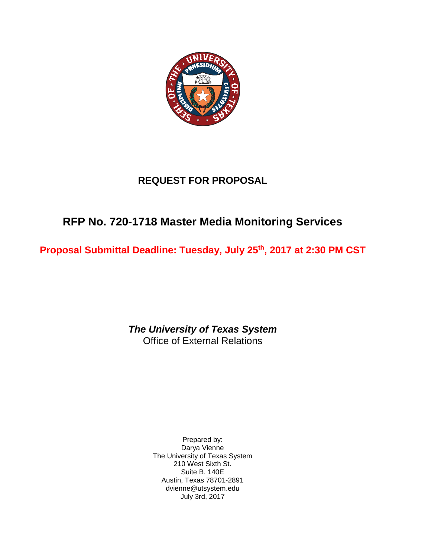

# **REQUEST FOR PROPOSAL**

# **RFP No. 720-1718 Master Media Monitoring Services**

**Proposal Submittal Deadline: Tuesday, July 25th, 2017 at 2:30 PM CST**

*The University of Texas System* Office of External Relations

> Prepared by: Darya Vienne The University of Texas System 210 West Sixth St. Suite B. 140E Austin, Texas 78701-2891 dvienne@utsystem.edu July 3rd, 2017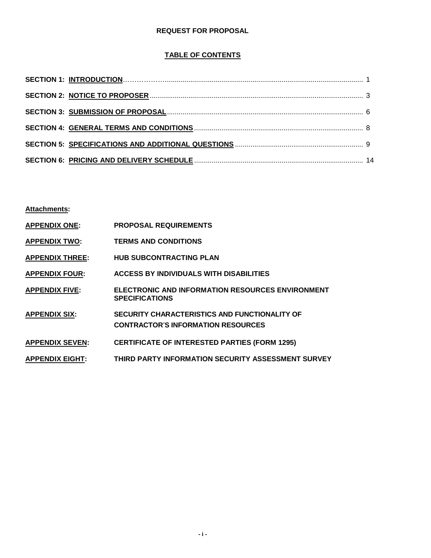## **REQUEST FOR PROPOSAL**

# **TABLE OF CONTENTS**

**Attachments:**

| <b>APPENDIX ONE:</b>   | <b>PROPOSAL REQUIREMENTS</b>                                                                      |
|------------------------|---------------------------------------------------------------------------------------------------|
| <b>APPENDIX TWO:</b>   | <b>TERMS AND CONDITIONS</b>                                                                       |
| <b>APPENDIX THREE:</b> | <b>HUB SUBCONTRACTING PLAN</b>                                                                    |
| <b>APPENDIX FOUR:</b>  | <b>ACCESS BY INDIVIDUALS WITH DISABILITIES</b>                                                    |
| <b>APPENDIX FIVE:</b>  | <b>ELECTRONIC AND INFORMATION RESOURCES ENVIRONMENT</b><br><b>SPECIFICATIONS</b>                  |
| <b>APPENDIX SIX:</b>   | <b>SECURITY CHARACTERISTICS AND FUNCTIONALITY OF</b><br><b>CONTRACTOR'S INFORMATION RESOURCES</b> |
| <b>APPENDIX SEVEN:</b> | <b>CERTIFICATE OF INTERESTED PARTIES (FORM 1295)</b>                                              |
| <b>APPENDIX EIGHT:</b> | THIRD PARTY INFORMATION SECURITY ASSESSMENT SURVEY                                                |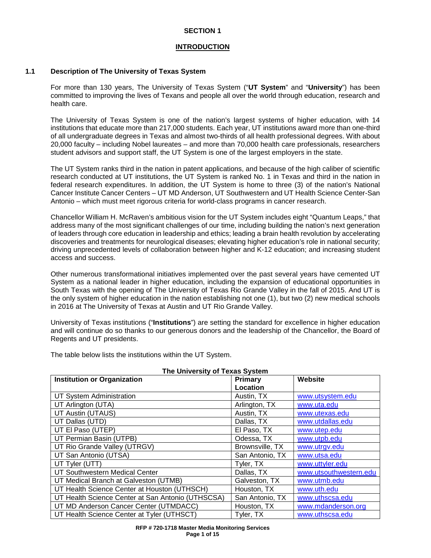### **SECTION 1**

### **INTRODUCTION**

### **1.1 Description of The University of Texas System**

For more than 130 years, The University of Texas System ("**UT System**" and "**University**") has been committed to improving the lives of Texans and people all over the world through education, research and health care.

The University of Texas System is one of the nation's largest systems of higher education, with 14 institutions that educate more than 217,000 students. Each year, UT institutions award more than one-third of all undergraduate degrees in Texas and almost two-thirds of all health professional degrees. With about 20,000 faculty – including Nobel laureates – and more than 70,000 health care professionals, researchers student advisors and support staff, the UT System is one of the largest employers in the state.

The UT System ranks third in the nation in patent applications, and because of the high caliber of scientific research conducted at UT institutions, the UT System is ranked No. 1 in Texas and third in the nation in federal research expenditures. In addition, the UT System is home to three (3) of the nation's National Cancer Institute Cancer Centers – UT MD Anderson, UT Southwestern and UT Health Science Center-San Antonio – which must meet rigorous criteria for world-class programs in cancer research.

Chancellor William H. McRaven's ambitious vision for the UT System includes eight "Quantum Leaps," that address many of the most significant challenges of our time, including building the nation's next generation of leaders through core education in leadership and ethics; leading a brain health revolution by accelerating discoveries and treatments for neurological diseases; elevating higher education's role in national security; driving unprecedented levels of collaboration between higher and K-12 education; and increasing student access and success.

Other numerous transformational initiatives implemented over the past several years have cemented UT System as a national leader in higher education, including the expansion of educational opportunities in South Texas with the opening of The University of Texas Rio Grande Valley in the fall of 2015. And UT is the only system of higher education in the nation establishing not one (1), but two (2) new medical schools in 2016 at The University of Texas at Austin and UT Rio Grande Valley.

University of Texas institutions ("**Institutions**") are setting the standard for excellence in higher education and will continue do so thanks to our generous donors and the leadership of the Chancellor, the Board of Regents and UT presidents.

**The University of Texas System Institution or Organization Location**<br>Austin, TX **Website** UT System Administration<br>
UT Arlington (UTA) and DT Arlington, TX [www.utsystem.edu](http://www.utsystem.edu/)<br>
Arlington, TX www.uta.edu UT Arlington (UTA)<br>
UT Austin (UTAUS) Arlington, TX [www.uta.edu](http://www.uta.edu/)<br>
Austin. TX www.utexas.edu UT Austin (UTAUS) UT Dallas (UTD) Dallas, TX [www.utdallas.edu](http://www.utdallas.edu/)<br>UT El Paso (UTEP) El Paso, TX www.utep.edu UT El Paso (UTEP)<br>
UT Permian Basin (UTPB) 
UT Permian Basin (UTPB) 
UT Permian Basin (UTPB) UT Permian Basin (UTPB)<br>
UT Rio Grande Valley (UTRGV) Brownsville. TX UT Rio Grande Valley (UTRGV)<br>
UT San Antonio (UTSA) Brownsville, TX [www.utrgv.edu](http://www.utrgv.edu/)<br>
San Antonio, TX www.utsa.edu UT San Antonio (UTSA) UT Tyler (UTT)<br>
UT Southwestern Medical Center<br>
UT Southwestern Medical Center<br>
The Southwestern Medical Center<br>
The Southwestern Medical Center UT Southwestern Medical Center **Dallas**, TX [www.utsouthwestern.edu](http://www.utsouthwestern.edu/)<br>
UT Medical Branch at Galveston (UTMB) Galveston, TX www.utmb.edu UT Medical Branch at Galveston (UTMB) Galveston, T<br>UT Health Science Center at Houston (UTHSCH) Houston, TX UT Health Science Center at Houston (UTHSCH) | Houston, TX | [www.uth.edu](http://www.uth.edu/)<br>UT Health Science Center at San Antonio (UTHSCSA) | San Antonio. TX | www.uthscsa. UT Health Science Center at San Antonio (UTHSCSA) San Antonio, TX [www.uthscsa.edu](http://www.uthscsa.edu/) UT MD Anderson Cancer Center (UTMDACC) Houston, TX Www.mdanderson.org UT Health Science Center at Tyler (UTHSCT) Tyler, TX Www.uthscsa.edu

The table below lists the institutions within the UT System.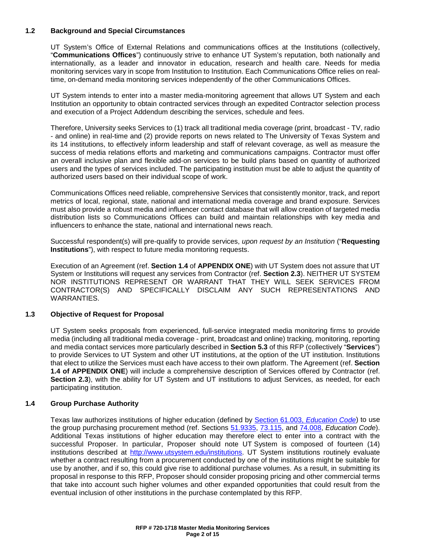### **1.2 Background and Special Circumstances**

UT System's Office of External Relations and communications offices at the Institutions (collectively, "**Communications Offices**") continuously strive to enhance UT System's reputation, both nationally and internationally, as a leader and innovator in education, research and health care. Needs for media monitoring services vary in scope from Institution to Institution. Each Communications Office relies on realtime, on-demand media monitoring services independently of the other Communications Offices.

UT System intends to enter into a master media-monitoring agreement that allows UT System and each Institution an opportunity to obtain contracted services through an expedited Contractor selection process and execution of a Project Addendum describing the services, schedule and fees.

Therefore, University seeks Services to (1) track all traditional media coverage (print, broadcast - TV, radio - and online) in real-time and (2) provide reports on news related to The University of Texas System and its 14 institutions, to effectively inform leadership and staff of relevant coverage, as well as measure the success of media relations efforts and marketing and communications campaigns. Contractor must offer an overall inclusive plan and flexible add-on services to be build plans based on quantity of authorized users and the types of services included. The participating institution must be able to adjust the quantity of authorized users based on their individual scope of work.

Communications Offices need reliable, comprehensive Services that consistently monitor, track, and report metrics of local, regional, state, national and international media coverage and brand exposure. Services must also provide a robust media and influencer contact database that will allow creation of targeted media distribution lists so Communications Offices can build and maintain relationships with key media and influencers to enhance the state, national and international news reach.

Successful respondent(s) will pre-qualify to provide services, *upon request by an Institution* ("**Requesting Institutions**"), with respect to future media monitoring requests.

Execution of an Agreement (ref. **Section 1.4** of **APPENDIX ONE**) with UT System does not assure that UT System or Institutions will request any services from Contractor (ref. **Section 2.3**). NEITHER UT SYSTEM NOR INSTITUTIONS REPRESENT OR WARRANT THAT THEY WILL SEEK SERVICES FROM CONTRACTOR(S) AND SPECIFICALLY DISCLAIM ANY SUCH REPRESENTATIONS AND WARRANTIES.

### **1.3 Objective of Request for Proposal**

UT System seeks proposals from experienced, full-service integrated media monitoring firms to provide media (including all traditional media coverage - print, broadcast and online) tracking, monitoring, reporting and media contact services more particularly described in **Section 5.3** of this RFP (collectively "**Services**") to provide Services to UT System and other UT institutions, at the option of the UT institution. Institutions that elect to utilize the Services must each have access to their own platform. The Agreement (ref. **Section 1.4 of APPENDIX ONE**) will include a comprehensive description of Services offered by Contractor (ref. **Section 2.3**), with the ability for UT System and UT institutions to adjust Services, as needed, for each participating institution.

### **1.4 Group Purchase Authority**

Texas law authorizes institutions of higher education (defined by [Section 61.003,](http://www.statutes.legis.state.tx.us/Docs/ED/htm/ED.61.htm#61.003) *Education Code*) to use the group purchasing procurement method (ref. Sections [51.9335,](http://www.statutes.legis.state.tx.us/Docs/ED/htm/ED.51.htm#51.9335) [73.115,](http://www.statutes.legis.state.tx.us/Docs/ED/htm/ED.73.htm#73.115) and [74.008,](http://www.statutes.legis.state.tx.us/Docs/ED/htm/ED.74.htm#74.008) *Education Code*). Additional Texas institutions of higher education may therefore elect to enter into a contract with the successful Proposer. In particular, Proposer should note UT System is composed of fourteen (14) institutions described at [http://www.utsystem.edu/institutions.](http://www.utsystem.edu/institutions) UT System institutions routinely evaluate whether a contract resulting from a procurement conducted by one of the institutions might be suitable for use by another, and if so, this could give rise to additional purchase volumes. As a result, in submitting its proposal in response to this RFP, Proposer should consider proposing pricing and other commercial terms that take into account such higher volumes and other expanded opportunities that could result from the eventual inclusion of other institutions in the purchase contemplated by this RFP.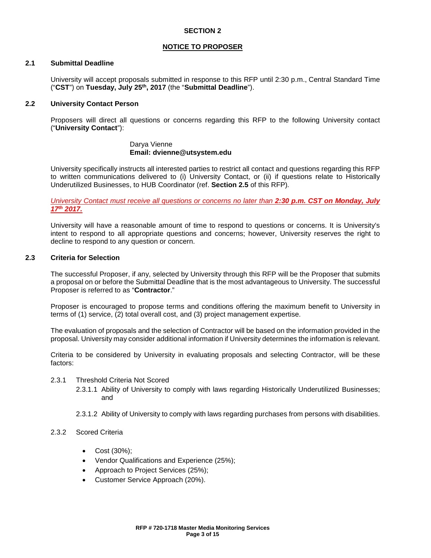### **SECTION 2**

### **NOTICE TO PROPOSER**

### **2.1 Submittal Deadline**

University will accept proposals submitted in response to this RFP until 2:30 p.m., Central Standard Time ("**CST**") on **Tuesday, July 25th, 2017** (the "**Submittal Deadline**").

### **2.2 University Contact Person**

Proposers will direct all questions or concerns regarding this RFP to the following University contact ("**University Contact**"):

### Darya Vienne **Email: dvienne@utsystem.edu**

University specifically instructs all interested parties to restrict all contact and questions regarding this RFP to written communications delivered to (i) University Contact, or (ii) if questions relate to Historically Underutilized Businesses, to HUB Coordinator (ref. **Section 2.5** of this RFP)*.*

*University Contact must receive all questions or concerns no later than 2:30 p.m. CST on Monday, July 17th 2017.*

University will have a reasonable amount of time to respond to questions or concerns. It is University's intent to respond to all appropriate questions and concerns; however, University reserves the right to decline to respond to any question or concern.

### **2.3 Criteria for Selection**

The successful Proposer, if any, selected by University through this RFP will be the Proposer that submits a proposal on or before the Submittal Deadline that is the most advantageous to University. The successful Proposer is referred to as "**Contractor**."

Proposer is encouraged to propose terms and conditions offering the maximum benefit to University in terms of (1) service, (2) total overall cost, and (3) project management expertise.

The evaluation of proposals and the selection of Contractor will be based on the information provided in the proposal. University may consider additional information if University determines the information is relevant.

Criteria to be considered by University in evaluating proposals and selecting Contractor, will be these factors:

### 2.3.1 Threshold Criteria Not Scored

- 2.3.1.1 Ability of University to comply with laws regarding Historically Underutilized Businesses; and
- 2.3.1.2 Ability of University to comply with laws regarding purchases from persons with disabilities.
- 2.3.2 Scored Criteria
	- Cost (30%);
	- Vendor Qualifications and Experience (25%);
	- Approach to Project Services (25%);
	- Customer Service Approach (20%).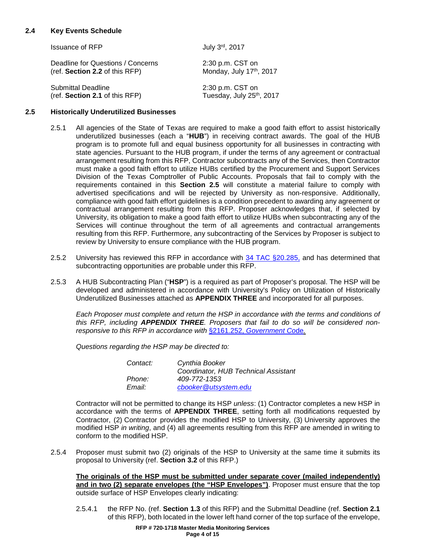### **2.4 Key Events Schedule**

| <b>Issuance of RFP</b>            | July 3rd, 2017           |
|-----------------------------------|--------------------------|
| Deadline for Questions / Concerns | 2:30 p.m. CST on         |
| (ref. Section 2.2 of this RFP)    | Monday, July 17th, 2017  |
| <b>Submittal Deadline</b>         | 2:30 p.m. CST on         |
| (ref. Section 2.1 of this RFP)    | Tuesday, July 25th, 2017 |

### **2.5 Historically Underutilized Businesses**

- 2.5.1 All agencies of the State of Texas are required to make a good faith effort to assist historically underutilized businesses (each a "**HUB**") in receiving contract awards. The goal of the HUB program is to promote full and equal business opportunity for all businesses in contracting with state agencies. Pursuant to the HUB program, if under the terms of any agreement or contractual arrangement resulting from this RFP, Contractor subcontracts any of the Services, then Contractor must make a good faith effort to utilize HUBs certified by the Procurement and Support Services Division of the Texas Comptroller of Public Accounts. Proposals that fail to comply with the requirements contained in this **Section 2.5** will constitute a material failure to comply with advertised specifications and will be rejected by University as non-responsive. Additionally, compliance with good faith effort guidelines is a condition precedent to awarding any agreement or contractual arrangement resulting from this RFP. Proposer acknowledges that, if selected by University, its obligation to make a good faith effort to utilize HUBs when subcontracting any of the Services will continue throughout the term of all agreements and contractual arrangements resulting from this RFP. Furthermore, any subcontracting of the Services by Proposer is subject to review by University to ensure compliance with the HUB program.
- 2.5.2 University has reviewed this RFP in accordance with [34 TAC §20.285,](https://texreg.sos.state.tx.us/public/readtac$ext.TacPage?sl=R&app=9&p_dir=&p_rloc=&p_tloc=&p_ploc=&pg=1&p_tac=&ti=34&pt=1&ch=20&rl=285) and has determined that subcontracting opportunities are probable under this RFP.
- 2.5.3 A HUB Subcontracting Plan ("**HSP**") is a required as part of Proposer's proposal. The HSP will be developed and administered in accordance with University's Policy on Utilization of Historically Underutilized Businesses attached as **APPENDIX THREE** and incorporated for all purposes.

*Each Proposer must complete and return the HSP in accordance with the terms and conditions of this RFP, including APPENDIX THREE. Proposers that fail to do so will be considered nonresponsive to this RFP in accordance with* §2161.252, *[Government Co](http://www.statutes.legis.state.tx.us/Docs/GV/htm/GV.2161.htm#2161.252)*de*.*

*Questions regarding the HSP may be directed to:*

| Contact: | Cynthia Booker                       |
|----------|--------------------------------------|
|          | Coordinator, HUB Technical Assistant |
| Phone:   | 409-772-1353                         |
| Email:   | cbooker@utsystem.edu                 |

Contractor will not be permitted to change its HSP *unless*: (1) Contractor completes a new HSP in accordance with the terms of **APPENDIX THREE**, setting forth all modifications requested by Contractor, (2) Contractor provides the modified HSP to University, (3) University approves the modified HSP *in writing*, and (4) all agreements resulting from this RFP are amended in writing to conform to the modified HSP.

2.5.4 Proposer must submit two (2) originals of the HSP to University at the same time it submits its proposal to University (ref. **Section 3.2** of this RFP.)

**The originals of the HSP must be submitted under separate cover (mailed independently) and in two (2) separate envelopes (the "HSP Envelopes")**. Proposer must ensure that the top outside surface of HSP Envelopes clearly indicating:

2.5.4.1 the RFP No. (ref. **Section 1.3** of this RFP) and the Submittal Deadline (ref. **Section 2.1** of this RFP), both located in the lower left hand corner of the top surface of the envelope,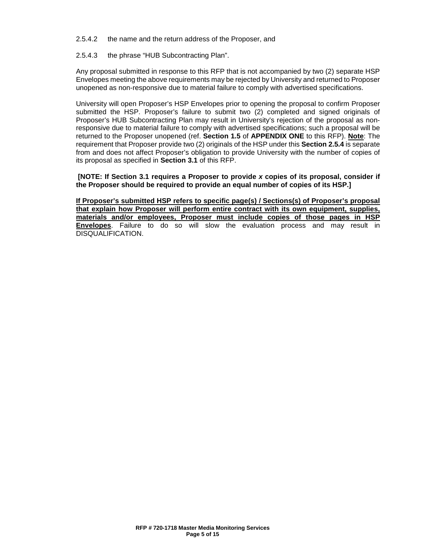- 2.5.4.2 the name and the return address of the Proposer, and
- 2.5.4.3 the phrase "HUB Subcontracting Plan".

Any proposal submitted in response to this RFP that is not accompanied by two (2) separate HSP Envelopes meeting the above requirements may be rejected by University and returned to Proposer unopened as non-responsive due to material failure to comply with advertised specifications.

University will open Proposer's HSP Envelopes prior to opening the proposal to confirm Proposer submitted the HSP. Proposer's failure to submit two (2) completed and signed originals of Proposer's HUB Subcontracting Plan may result in University's rejection of the proposal as nonresponsive due to material failure to comply with advertised specifications; such a proposal will be returned to the Proposer unopened (ref. **Section 1.5** of **APPENDIX ONE** to this RFP). **Note**: The requirement that Proposer provide two (2) originals of the HSP under this **Section 2.5.4** is separate from and does not affect Proposer's obligation to provide University with the number of copies of its proposal as specified in **Section 3.1** of this RFP.

**[NOTE: If Section 3.1 requires a Proposer to provide** *x* **copies of its proposal, consider if the Proposer should be required to provide an equal number of copies of its HSP.]**

**If Proposer's submitted HSP refers to specific page(s) / Sections(s) of Proposer's proposal that explain how Proposer will perform entire contract with its own equipment, supplies, materials and/or employees, Proposer must include copies of those pages in HSP Envelopes**. Failure to do so will slow the evaluation process and may result in DISQUALIFICATION.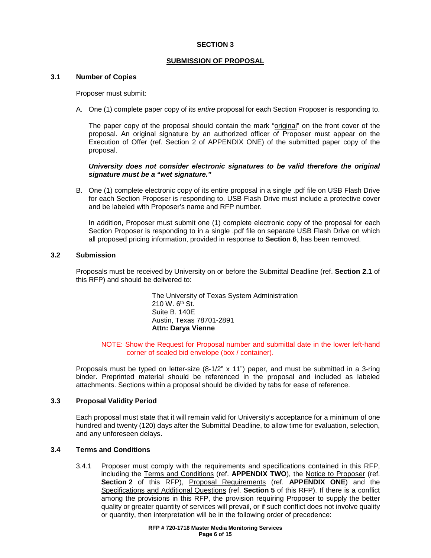### **SECTION 3**

### **SUBMISSION OF PROPOSAL**

### **3.1 Number of Copies**

Proposer must submit:

A. One (1) complete paper copy of its *entire* proposal for each Section Proposer is responding to.

The paper copy of the proposal should contain the mark "original" on the front cover of the proposal. An original signature by an authorized officer of Proposer must appear on the Execution of Offer (ref. Section 2 of APPENDIX ONE) of the submitted paper copy of the proposal.

### *University does not consider electronic signatures to be valid therefore the original signature must be a "wet signature."*

B. One (1) complete electronic copy of its entire proposal in a single .pdf file on USB Flash Drive for each Section Proposer is responding to. USB Flash Drive must include a protective cover and be labeled with Proposer's name and RFP number.

In addition, Proposer must submit one (1) complete electronic copy of the proposal for each Section Proposer is responding to in a single .pdf file on separate USB Flash Drive on which all proposed pricing information, provided in response to **Section 6**, has been removed.

### **3.2 Submission**

Proposals must be received by University on or before the Submittal Deadline (ref. **Section 2.1** of this RFP) and should be delivered to:

> The University of Texas System Administration 210 W. 6<sup>th</sup> St. Suite B. 140E Austin, Texas 78701-2891 **Attn: Darya Vienne**

### NOTE: Show the Request for Proposal number and submittal date in the lower left-hand corner of sealed bid envelope (box / container).

Proposals must be typed on letter-size (8-1/2" x 11") paper, and must be submitted in a 3-ring binder. Preprinted material should be referenced in the proposal and included as labeled attachments. Sections within a proposal should be divided by tabs for ease of reference.

### **3.3 Proposal Validity Period**

Each proposal must state that it will remain valid for University's acceptance for a minimum of one hundred and twenty (120) days after the Submittal Deadline, to allow time for evaluation, selection, and any unforeseen delays.

### **3.4 Terms and Conditions**

3.4.1 Proposer must comply with the requirements and specifications contained in this RFP, including the Terms and Conditions (ref. **APPENDIX TWO**), the Notice to Proposer (ref. **Section 2** of this RFP), Proposal Requirements (ref. **APPENDIX ONE**) and the Specifications and Additional Questions (ref. **Section 5** of this RFP). If there is a conflict among the provisions in this RFP, the provision requiring Proposer to supply the better quality or greater quantity of services will prevail, or if such conflict does not involve quality or quantity, then interpretation will be in the following order of precedence: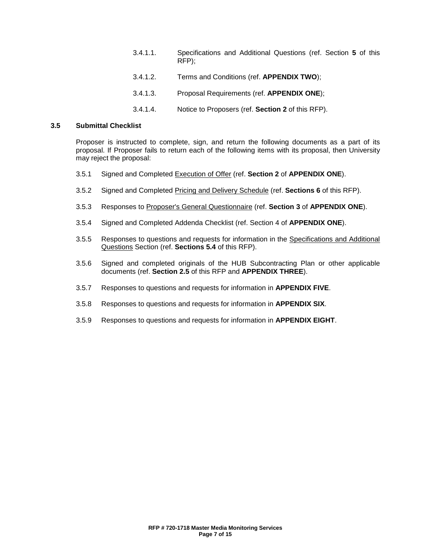- 3.4.1.1. Specifications and Additional Questions (ref. Section **5** of this RFP);
- 3.4.1.2. Terms and Conditions (ref. **APPENDIX TWO**);
- 3.4.1.3. Proposal Requirements (ref. **APPENDIX ONE**);
- 3.4.1.4. Notice to Proposers (ref. **Section 2** of this RFP).

### **3.5 Submittal Checklist**

Proposer is instructed to complete, sign, and return the following documents as a part of its proposal. If Proposer fails to return each of the following items with its proposal, then University may reject the proposal:

- 3.5.1 Signed and Completed Execution of Offer (ref. **Section 2** of **APPENDIX ONE**).
- 3.5.2 Signed and Completed Pricing and Delivery Schedule (ref. **Sections 6** of this RFP).
- 3.5.3 Responses to Proposer's General Questionnaire (ref. **Section 3** of **APPENDIX ONE**).
- 3.5.4 Signed and Completed Addenda Checklist (ref. Section 4 of **APPENDIX ONE**).
- 3.5.5 Responses to questions and requests for information in the Specifications and Additional Questions Section (ref. **Sections 5.4** of this RFP).
- 3.5.6 Signed and completed originals of the HUB Subcontracting Plan or other applicable documents (ref. **Section 2.5** of this RFP and **APPENDIX THREE**).
- 3.5.7 Responses to questions and requests for information in **APPENDIX FIVE**.
- 3.5.8 Responses to questions and requests for information in **APPENDIX SIX**.
- 3.5.9 Responses to questions and requests for information in **APPENDIX EIGHT**.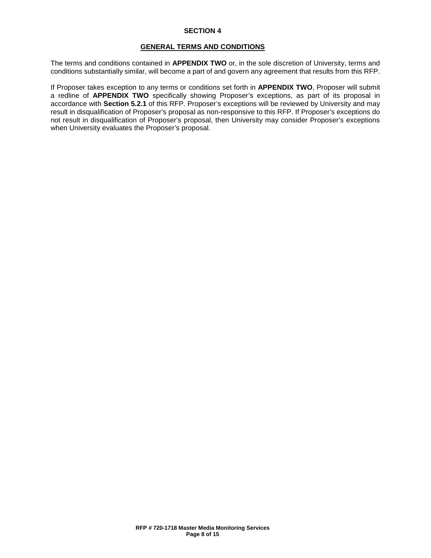### **SECTION 4**

### **GENERAL TERMS AND CONDITIONS**

The terms and conditions contained in **APPENDIX TWO** or, in the sole discretion of University, terms and conditions substantially similar, will become a part of and govern any agreement that results from this RFP.

If Proposer takes exception to any terms or conditions set forth in **APPENDIX TWO**, Proposer will submit a redline of **APPENDIX TWO** specifically showing Proposer's exceptions, as part of its proposal in accordance with **Section 5.2.1** of this RFP. Proposer's exceptions will be reviewed by University and may result in disqualification of Proposer's proposal as non-responsive to this RFP. If Proposer's exceptions do not result in disqualification of Proposer's proposal, then University may consider Proposer's exceptions when University evaluates the Proposer's proposal.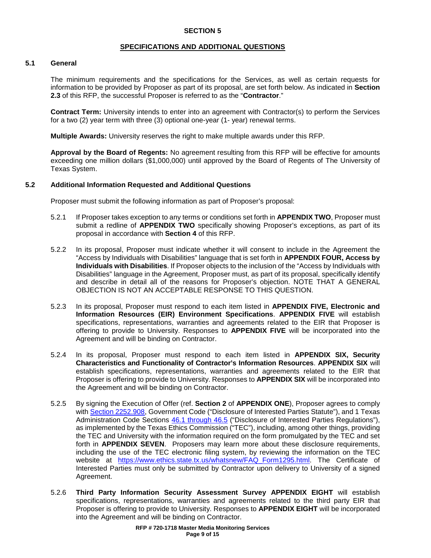### **SPECIFICATIONS AND ADDITIONAL QUESTIONS**

### **5.1 General**

The minimum requirements and the specifications for the Services, as well as certain requests for information to be provided by Proposer as part of its proposal, are set forth below. As indicated in **Section 2.3** of this RFP, the successful Proposer is referred to as the "**Contractor**."

**Contract Term:** University intends to enter into an agreement with Contractor(s) to perform the Services for a two (2) year term with three (3) optional one-year (1- year) renewal terms.

**Multiple Awards:** University reserves the right to make multiple awards under this RFP.

**Approval by the Board of Regents:** No agreement resulting from this RFP will be effective for amounts exceeding one million dollars (\$1,000,000) until approved by the Board of Regents of The University of Texas System.

### **5.2 Additional Information Requested and Additional Questions**

Proposer must submit the following information as part of Proposer's proposal:

- 5.2.1 If Proposer takes exception to any terms or conditions set forth in **APPENDIX TWO**, Proposer must submit a redline of **APPENDIX TWO** specifically showing Proposer's exceptions, as part of its proposal in accordance with **Section 4** of this RFP.
- 5.2.2 In its proposal, Proposer must indicate whether it will consent to include in the Agreement the "Access by Individuals with Disabilities" language that is set forth in **APPENDIX FOUR, Access by Individuals with Disabilities**. If Proposer objects to the inclusion of the "Access by Individuals with Disabilities" language in the Agreement, Proposer must, as part of its proposal, specifically identify and describe in detail all of the reasons for Proposer's objection. NOTE THAT A GENERAL OBJECTION IS NOT AN ACCEPTABLE RESPONSE TO THIS QUESTION.
- 5.2.3 In its proposal, Proposer must respond to each item listed in **APPENDIX FIVE, Electronic and Information Resources (EIR) Environment Specifications**. **APPENDIX FIVE** will establish specifications, representations, warranties and agreements related to the EIR that Proposer is offering to provide to University. Responses to **APPENDIX FIVE** will be incorporated into the Agreement and will be binding on Contractor.
- 5.2.4 In its proposal, Proposer must respond to each item listed in **APPENDIX SIX, Security Characteristics and Functionality of Contractor's Information Resources**. **APPENDIX SIX** will establish specifications, representations, warranties and agreements related to the EIR that Proposer is offering to provide to University. Responses to **APPENDIX SIX** will be incorporated into the Agreement and will be binding on Contractor.
- 5.2.5 By signing the Execution of Offer (ref. **Section 2** of **APPENDIX ONE**), Proposer agrees to comply with [Section 2252.908,](http://www.statutes.legis.state.tx.us/Docs/GV/htm/GV.2252.htm) Government Code ("Disclosure of Interested Parties Statute"), and 1 Texas Administration Code Sections [46.1 through 46.5](http://texreg.sos.state.tx.us/public/readtac$ext.ViewTAC?tac_view=4&ti=1&pt=2&ch=46&rl=Y) ("Disclosure of Interested Parties Regulations"), as implemented by the Texas Ethics Commission ("TEC"), including, among other things, providing the TEC and University with the information required on the form promulgated by the TEC and set forth in **APPENDIX SEVEN**. Proposers may learn more about these disclosure requirements, including the use of the TEC electronic filing system, by reviewing the information on the TEC website at [https://www.ethics.state.tx.us/whatsnew/FAQ\\_Form1295.html.](https://www.ethics.state.tx.us/whatsnew/FAQ_Form1295.html) The Certificate of Interested Parties must only be submitted by Contractor upon delivery to University of a signed Agreement.
- 5.2.6 **Third Party Information Security Assessment Survey APPENDIX EIGHT** will establish specifications, representations, warranties and agreements related to the third party EIR that Proposer is offering to provide to University. Responses to **APPENDIX EIGHT** will be incorporated into the Agreement and will be binding on Contractor.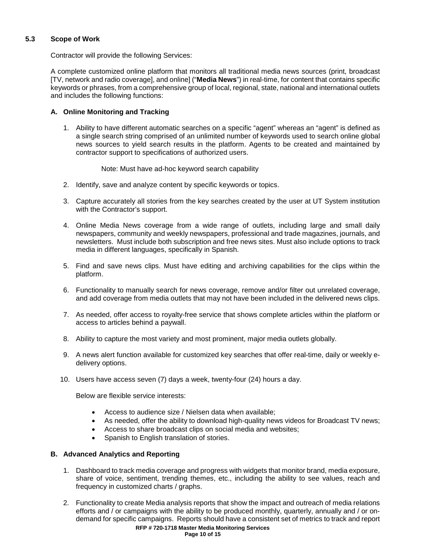### **5.3 Scope of Work**

Contractor will provide the following Services:

A complete customized online platform that monitors all traditional media news sources (print, broadcast [TV, network and radio coverage], and online] ("**Media News**") in real-time, for content that contains specific keywords or phrases, from a comprehensive group of local, regional, state, national and international outlets and includes the following functions:

### **A. Online Monitoring and Tracking**

1. Ability to have different automatic searches on a specific "agent" whereas an "agent" is defined as a single search string comprised of an unlimited number of keywords used to search online global news sources to yield search results in the platform. Agents to be created and maintained by contractor support to specifications of authorized users.

Note: Must have ad-hoc keyword search capability

- 2. Identify, save and analyze content by specific keywords or topics.
- 3. Capture accurately all stories from the key searches created by the user at UT System institution with the Contractor's support.
- 4. Online Media News coverage from a wide range of outlets, including large and small daily newspapers, community and weekly newspapers, professional and trade magazines, journals, and newsletters. Must include both subscription and free news sites. Must also include options to track media in different languages, specifically in Spanish.
- 5. Find and save news clips. Must have editing and archiving capabilities for the clips within the platform.
- 6. Functionality to manually search for news coverage, remove and/or filter out unrelated coverage, and add coverage from media outlets that may not have been included in the delivered news clips.
- 7. As needed, offer access to royalty-free service that shows complete articles within the platform or access to articles behind a paywall.
- 8. Ability to capture the most variety and most prominent, major media outlets globally.
- 9. A news alert function available for customized key searches that offer real-time, daily or weekly edelivery options.
- 10. Users have access seven (7) days a week, twenty-four (24) hours a day.

Below are flexible service interests:

- Access to audience size / Nielsen data when available;
- As needed, offer the ability to download high-quality news videos for Broadcast TV news;
- Access to share broadcast clips on social media and websites;
- Spanish to English translation of stories.

### **B. Advanced Analytics and Reporting**

- 1. Dashboard to track media coverage and progress with widgets that monitor brand, media exposure, share of voice, sentiment, trending themes, etc., including the ability to see values, reach and frequency in customized charts / graphs.
- 2. Functionality to create Media analysis reports that show the impact and outreach of media relations efforts and / or campaigns with the ability to be produced monthly, quarterly, annually and / or ondemand for specific campaigns. Reports should have a consistent set of metrics to track and report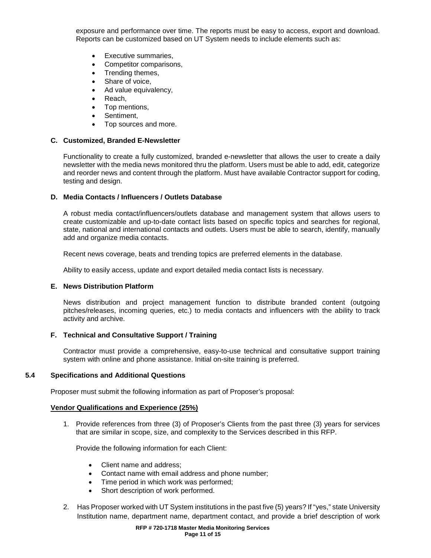exposure and performance over time. The reports must be easy to access, export and download. Reports can be customized based on UT System needs to include elements such as:

- Executive summaries,
- Competitor comparisons,
- Trending themes,
- Share of voice,
- Ad value equivalency,
- Reach,
- Top mentions,
- Sentiment,
- Top sources and more.

### **C. Customized, Branded E-Newsletter**

Functionality to create a fully customized, branded e-newsletter that allows the user to create a daily newsletter with the media news monitored thru the platform. Users must be able to add, edit, categorize and reorder news and content through the platform. Must have available Contractor support for coding, testing and design.

### **D. Media Contacts / Influencers / Outlets Database**

A robust media contact/influencers/outlets database and management system that allows users to create customizable and up-to-date contact lists based on specific topics and searches for regional, state, national and international contacts and outlets. Users must be able to search, identify, manually add and organize media contacts.

Recent news coverage, beats and trending topics are preferred elements in the database.

Ability to easily access, update and export detailed media contact lists is necessary.

### **E. News Distribution Platform**

News distribution and project management function to distribute branded content (outgoing pitches/releases, incoming queries, etc.) to media contacts and influencers with the ability to track activity and archive.

### **F. Technical and Consultative Support / Training**

Contractor must provide a comprehensive, easy-to-use technical and consultative support training system with online and phone assistance. Initial on-site training is preferred.

### **5.4 Specifications and Additional Questions**

Proposer must submit the following information as part of Proposer's proposal:

### **Vendor Qualifications and Experience (25%)**

1. Provide references from three (3) of Proposer's Clients from the past three (3) years for services that are similar in scope, size, and complexity to the Services described in this RFP.

Provide the following information for each Client:

- Client name and address;
- Contact name with email address and phone number;
- Time period in which work was performed;
- Short description of work performed.
- 2. Has Proposer worked with UT System institutions in the past five (5) years? If "yes," state University Institution name, department name, department contact, and provide a brief description of work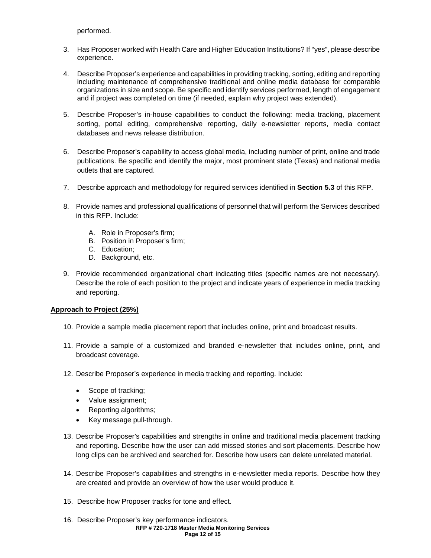performed.

- 3. Has Proposer worked with Health Care and Higher Education Institutions? If "yes", please describe experience.
- 4. Describe Proposer's experience and capabilities in providing tracking, sorting, editing and reporting including maintenance of comprehensive traditional and online media database for comparable organizations in size and scope. Be specific and identify services performed, length of engagement and if project was completed on time (if needed, explain why project was extended).
- 5. Describe Proposer's in-house capabilities to conduct the following: media tracking, placement sorting, portal editing, comprehensive reporting, daily e-newsletter reports, media contact databases and news release distribution.
- 6. Describe Proposer's capability to access global media, including number of print, online and trade publications. Be specific and identify the major, most prominent state (Texas) and national media outlets that are captured.
- 7. Describe approach and methodology for required services identified in **Section 5.3** of this RFP.
- 8. Provide names and professional qualifications of personnel that will perform the Services described in this RFP. Include:
	- A. Role in Proposer's firm;
	- B. Position in Proposer's firm;
	- C. Education;
	- D. Background, etc.
- 9. Provide recommended organizational chart indicating titles (specific names are not necessary). Describe the role of each position to the project and indicate years of experience in media tracking and reporting.

### **Approach to Project (25%)**

- 10. Provide a sample media placement report that includes online, print and broadcast results.
- 11. Provide a sample of a customized and branded e-newsletter that includes online, print, and broadcast coverage.
- 12. Describe Proposer's experience in media tracking and reporting. Include:
	- Scope of tracking;
	- Value assignment;
	- Reporting algorithms;
	- Key message pull-through.
- 13. Describe Proposer's capabilities and strengths in online and traditional media placement tracking and reporting. Describe how the user can add missed stories and sort placements. Describe how long clips can be archived and searched for. Describe how users can delete unrelated material.
- 14. Describe Proposer's capabilities and strengths in e-newsletter media reports. Describe how they are created and provide an overview of how the user would produce it.
- 15. Describe how Proposer tracks for tone and effect.
- **RFP # 720-1718 Master Media Monitoring Services Page 12 of 15** 16. Describe Proposer's key performance indicators.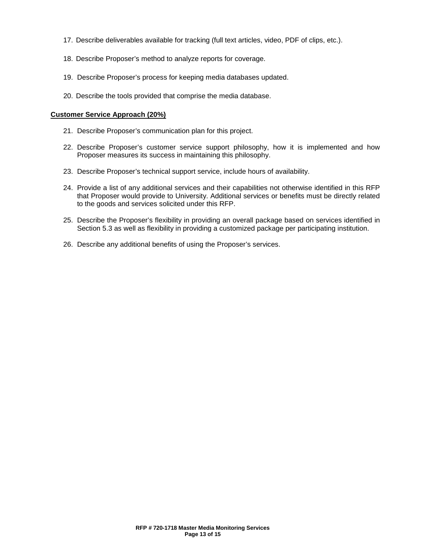- 17. Describe deliverables available for tracking (full text articles, video, PDF of clips, etc.).
- 18. Describe Proposer's method to analyze reports for coverage.
- 19. Describe Proposer's process for keeping media databases updated.
- 20. Describe the tools provided that comprise the media database.

### **Customer Service Approach (20%)**

- 21. Describe Proposer's communication plan for this project.
- 22. Describe Proposer's customer service support philosophy, how it is implemented and how Proposer measures its success in maintaining this philosophy.
- 23. Describe Proposer's technical support service, include hours of availability.
- 24. Provide a list of any additional services and their capabilities not otherwise identified in this RFP that Proposer would provide to University. Additional services or benefits must be directly related to the goods and services solicited under this RFP.
- 25. Describe the Proposer's flexibility in providing an overall package based on services identified in Section 5.3 as well as flexibility in providing a customized package per participating institution.
- 26. Describe any additional benefits of using the Proposer's services.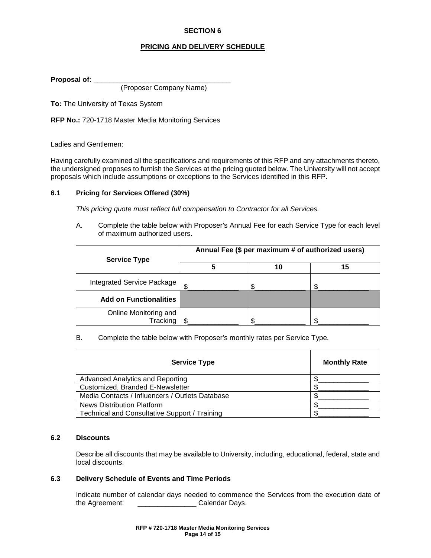### **SECTION 6**

### **PRICING AND DELIVERY SCHEDULE**

**Proposal of:** \_\_\_\_\_\_\_\_\_\_\_\_\_\_\_\_\_\_\_\_\_\_\_\_\_\_\_\_\_\_\_\_\_\_\_

(Proposer Company Name)

**To:** The University of Texas System

**RFP No.:** 720-1718 Master Media Monitoring Services

Ladies and Gentlemen:

Having carefully examined all the specifications and requirements of this RFP and any attachments thereto, the undersigned proposes to furnish the Services at the pricing quoted below. The University will not accept proposals which include assumptions or exceptions to the Services identified in this RFP.

### **6.1 Pricing for Services Offered (30%)**

*This pricing quote must reflect full compensation to Contractor for all Services.*

A. Complete the table below with Proposer's Annual Fee for each Service Type for each level of maximum authorized users.

| <b>Service Type</b>               | Annual Fee (\$ per maximum # of authorized users) |    |    |
|-----------------------------------|---------------------------------------------------|----|----|
|                                   | 5                                                 | 10 | 15 |
| <b>Integrated Service Package</b> | £.                                                |    |    |
| <b>Add on Functionalities</b>     |                                                   |    |    |
| Online Monitoring and<br>Tracking |                                                   |    |    |

### B. Complete the table below with Proposer's monthly rates per Service Type.

| <b>Service Type</b>                             | <b>Monthly Rate</b> |
|-------------------------------------------------|---------------------|
| Advanced Analytics and Reporting                |                     |
| Customized, Branded E-Newsletter                |                     |
| Media Contacts / Influencers / Outlets Database |                     |
| News Distribution Platform                      |                     |
| Technical and Consultative Support / Training   |                     |

### **6.2 Discounts**

Describe all discounts that may be available to University, including, educational, federal, state and local discounts.

### **6.3 Delivery Schedule of Events and Time Periods**

Indicate number of calendar days needed to commence the Services from the execution date of the Agreement:<br>Calendar Days. **the Agreement: Calendar Days.**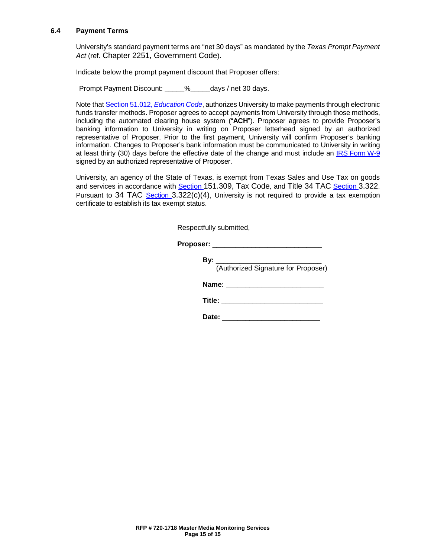### **6.4 Payment Terms**

University's standard payment terms are "net 30 days" as mandated by the *Texas Prompt Payment Act* (ref. [Chapter 2251, Government Code\)](http://www.statutes.legis.state.tx.us/Docs/GV/htm/GV.2251.htm).

Indicate below the prompt payment discount that Proposer offers:

Prompt Payment Discount:  $\frac{1}{2}$  % days / net 30 days.

Note that [Section 51.012,](http://www.statutes.legis.state.tx.us/Docs/ED/htm/ED.51.htm#51.012) *Education Code*, authorizes University to make payments through electronic funds transfer methods. Proposer agrees to accept payments from University through those methods, including the automated clearing house system ("**ACH**"). Proposer agrees to provide Proposer's banking information to University in writing on Proposer letterhead signed by an authorized representative of Proposer. Prior to the first payment, University will confirm Proposer's banking information. Changes to Proposer's bank information must be communicated to University in writing at least thirty (30) days before the effective date of the change and must include an IRS [Form](https://www.irs.gov/uac/about-form-w9) W-9 signed by an authorized representative of Proposer.

University, an agency of the State of Texas, is exempt from Texas Sales and Use Tax on goods and services in accordance with [Section 151.309, Tax Code](http://www.statutes.legis.state.tx.us/Docs/TX/htm/TX.151.htm#151.309)*,* and [Title 34 TAC Section 3.322.](http://texreg.sos.state.tx.us/public/readtac$ext.TacPage?sl=R&app=9&p_dir=&p_rloc=&p_tloc=&p_ploc=&pg=1&p_tac=&ti=34&pt=1&ch=3&rl=322) Pursuant to [34 TAC Section 3.322\(c\)\(4\),](http://texreg.sos.state.tx.us/public/readtac$ext.TacPage?sl=R&app=9&p_dir=&p_rloc=&p_tloc=&p_ploc=&pg=1&p_tac=&ti=34&pt=1&ch=3&rl=322) University is not required to provide a tax exemption certificate to establish its tax exempt status.

Respectfully submitted,

**Proposer:** \_\_\_\_\_\_\_\_\_\_\_\_\_\_\_\_\_\_\_\_\_\_\_\_\_\_\_\_

| By:                                 |  |
|-------------------------------------|--|
| (Authorized Signature for Proposer) |  |
| Name:                               |  |
| Title:                              |  |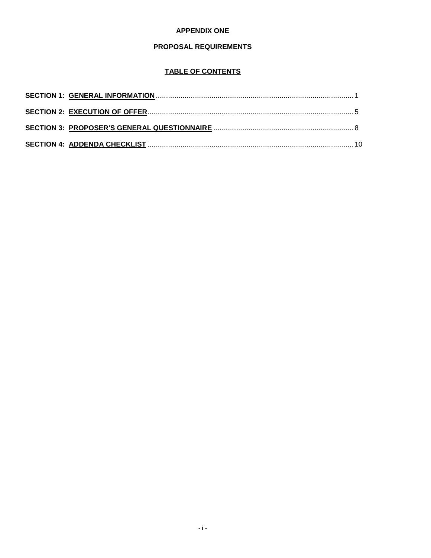### **APPENDIX ONE**

# PROPOSAL REQUIREMENTS

# **TABLE OF CONTENTS**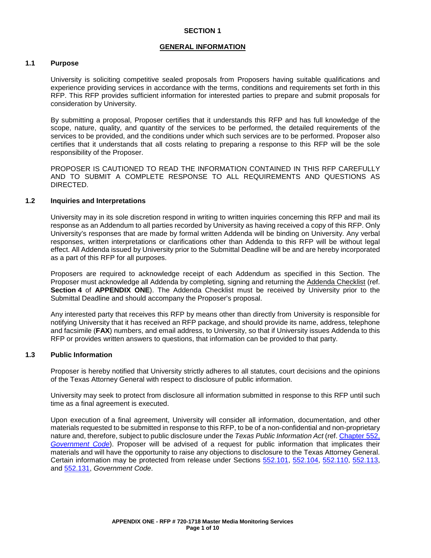### **SECTION 1**

#### **GENERAL INFORMATION**

### **1.1 Purpose**

University is soliciting competitive sealed proposals from Proposers having suitable qualifications and experience providing services in accordance with the terms, conditions and requirements set forth in this RFP. This RFP provides sufficient information for interested parties to prepare and submit proposals for consideration by University.

By submitting a proposal, Proposer certifies that it understands this RFP and has full knowledge of the scope, nature, quality, and quantity of the services to be performed, the detailed requirements of the services to be provided, and the conditions under which such services are to be performed. Proposer also certifies that it understands that all costs relating to preparing a response to this RFP will be the sole responsibility of the Proposer.

PROPOSER IS CAUTIONED TO READ THE INFORMATION CONTAINED IN THIS RFP CAREFULLY AND TO SUBMIT A COMPLETE RESPONSE TO ALL REQUIREMENTS AND QUESTIONS AS DIRECTED.

### **1.2 Inquiries and Interpretations**

University may in its sole discretion respond in writing to written inquiries concerning this RFP and mail its response as an Addendum to all parties recorded by University as having received a copy of this RFP. Only University's responses that are made by formal written Addenda will be binding on University. Any verbal responses, written interpretations or clarifications other than Addenda to this RFP will be without legal effect. All Addenda issued by University prior to the Submittal Deadline will be and are hereby incorporated as a part of this RFP for all purposes.

Proposers are required to acknowledge receipt of each Addendum as specified in this Section. The Proposer must acknowledge all Addenda by completing, signing and returning the Addenda Checklist (ref. **Section 4** of **APPENDIX ONE**). The Addenda Checklist must be received by University prior to the Submittal Deadline and should accompany the Proposer's proposal.

Any interested party that receives this RFP by means other than directly from University is responsible for notifying University that it has received an RFP package, and should provide its name, address, telephone and facsimile (**FAX**) numbers, and email address, to University, so that if University issues Addenda to this RFP or provides written answers to questions, that information can be provided to that party.

### **1.3 Public Information**

Proposer is hereby notified that University strictly adheres to all statutes, court decisions and the opinions of the Texas Attorney General with respect to disclosure of public information.

University may seek to protect from disclosure all information submitted in response to this RFP until such time as a final agreement is executed.

Upon execution of a final agreement, University will consider all information, documentation, and other materials requested to be submitted in response to this RFP, to be of a non-confidential and non-proprietary nature and, therefore, subject to public disclosure under the *Texas Public Information Act* (ref. [Chapter](http://www.statutes.legis.state.tx.us/Docs/GV/htm/GV.552.htm) 552, *[Government Code](http://www.statutes.legis.state.tx.us/Docs/GV/htm/GV.552.htm)*). Proposer will be advised of a request for public information that implicates their materials and will have the opportunity to raise any objections to disclosure to the Texas Attorney General. Certain information may be protected from release under Sections [552.101,](http://www.statutes.legis.state.tx.us/Docs/GV/htm/GV.552.htm#552.101) [552.104,](http://www.statutes.legis.state.tx.us/Docs/GV/htm/GV.552.htm#552.104) [552.110,](http://www.statutes.legis.state.tx.us/Docs/GV/htm/GV.552.htm#552.110) [552.113,](http://www.statutes.legis.state.tx.us/Docs/GV/htm/GV.552.htm#552.113) and [552.131,](http://www.statutes.legis.state.tx.us/Docs/GV/htm/GV.552.htm#552.131) *Government Code*.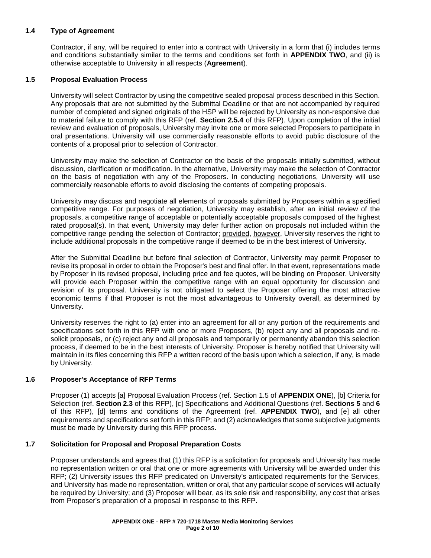### **1.4 Type of Agreement**

Contractor, if any, will be required to enter into a contract with University in a form that (i) includes terms and conditions substantially similar to the terms and conditions set forth in **APPENDIX TWO**, and (ii) is otherwise acceptable to University in all respects (**Agreement**).

### **1.5 Proposal Evaluation Process**

University will select Contractor by using the competitive sealed proposal process described in this Section. Any proposals that are not submitted by the Submittal Deadline or that are not accompanied by required number of completed and signed originals of the HSP will be rejected by University as non-responsive due to material failure to comply with this RFP (ref. **Section 2.5.4** of this RFP). Upon completion of the initial review and evaluation of proposals, University may invite one or more selected Proposers to participate in oral presentations. University will use commercially reasonable efforts to avoid public disclosure of the contents of a proposal prior to selection of Contractor.

University may make the selection of Contractor on the basis of the proposals initially submitted, without discussion, clarification or modification. In the alternative, University may make the selection of Contractor on the basis of negotiation with any of the Proposers. In conducting negotiations, University will use commercially reasonable efforts to avoid disclosing the contents of competing proposals.

University may discuss and negotiate all elements of proposals submitted by Proposers within a specified competitive range. For purposes of negotiation, University may establish, after an initial review of the proposals, a competitive range of acceptable or potentially acceptable proposals composed of the highest rated proposal(s). In that event, University may defer further action on proposals not included within the competitive range pending the selection of Contractor; provided, however, University reserves the right to include additional proposals in the competitive range if deemed to be in the best interest of University.

After the Submittal Deadline but before final selection of Contractor, University may permit Proposer to revise its proposal in order to obtain the Proposer's best and final offer. In that event, representations made by Proposer in its revised proposal, including price and fee quotes, will be binding on Proposer. University will provide each Proposer within the competitive range with an equal opportunity for discussion and revision of its proposal. University is not obligated to select the Proposer offering the most attractive economic terms if that Proposer is not the most advantageous to University overall, as determined by University.

University reserves the right to (a) enter into an agreement for all or any portion of the requirements and specifications set forth in this RFP with one or more Proposers, (b) reject any and all proposals and resolicit proposals, or (c) reject any and all proposals and temporarily or permanently abandon this selection process, if deemed to be in the best interests of University. Proposer is hereby notified that University will maintain in its files concerning this RFP a written record of the basis upon which a selection, if any, is made by University.

### **1.6 Proposer's Acceptance of RFP Terms**

Proposer (1) accepts [a] Proposal Evaluation Process (ref. Section 1.5 of **APPENDIX ONE**), [b] Criteria for Selection (ref. **Section 2.3** of this RFP), [c] Specifications and Additional Questions (ref. **Sections 5** and **6** of this RFP), [d] terms and conditions of the Agreement (ref. **APPENDIX TWO**), and [e] all other requirements and specifications set forth in this RFP; and (2) acknowledges that some subjective judgments must be made by University during this RFP process.

### **1.7 Solicitation for Proposal and Proposal Preparation Costs**

Proposer understands and agrees that (1) this RFP is a solicitation for proposals and University has made no representation written or oral that one or more agreements with University will be awarded under this RFP; (2) University issues this RFP predicated on University's anticipated requirements for the Services, and University has made no representation, written or oral, that any particular scope of services will actually be required by University; and (3) Proposer will bear, as its sole risk and responsibility, any cost that arises from Proposer's preparation of a proposal in response to this RFP.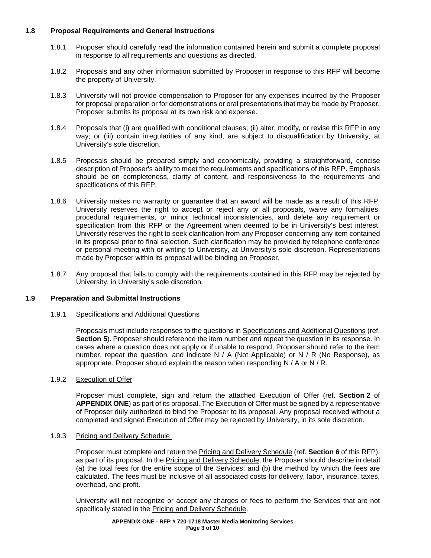### **1.8 Proposal Requirements and General Instructions**

- 1.8.1 Proposer should carefully read the information contained herein and submit a complete proposal in response to all requirements and questions as directed.
- 1.8.2 Proposals and any other information submitted by Proposer in response to this RFP will become the property of University.
- 1.8.3 University will not provide compensation to Proposer for any expenses incurred by the Proposer for proposal preparation or for demonstrations or oral presentations that may be made by Proposer. Proposer submits its proposal at its own risk and expense.
- 1.8.4 Proposals that (i) are qualified with conditional clauses; (ii) alter, modify, or revise this RFP in any way; or (iii) contain irregularities of any kind, are subject to disqualification by University, at University's sole discretion.
- 1.8.5 Proposals should be prepared simply and economically, providing a straightforward, concise description of Proposer's ability to meet the requirements and specifications of this RFP. Emphasis should be on completeness, clarity of content, and responsiveness to the requirements and specifications of this RFP.
- 1.8.6 University makes no warranty or guarantee that an award will be made as a result of this RFP. University reserves the right to accept or reject any or all proposals, waive any formalities, procedural requirements, or minor technical inconsistencies, and delete any requirement or specification from this RFP or the Agreement when deemed to be in University's best interest. University reserves the right to seek clarification from any Proposer concerning any item contained in its proposal prior to final selection. Such clarification may be provided by telephone conference or personal meeting with or writing to University, at University's sole discretion. Representations made by Proposer within its proposal will be binding on Proposer.
- 1.8.7 Any proposal that fails to comply with the requirements contained in this RFP may be rejected by University, in University's sole discretion.

### **1.9 Preparation and Submittal Instructions**

1.9.1 Specifications and Additional Questions

Proposals must include responses to the questions in Specifications and Additional Questions (ref. **Section 5**). Proposer should reference the item number and repeat the question in its response. In cases where a question does not apply or if unable to respond, Proposer should refer to the item number, repeat the question, and indicate  $N / A$  (Not Applicable) or N  $/R$  (No Response), as appropriate. Proposer should explain the reason when responding N / A or N / R.

### 1.9.2 Execution of Offer

Proposer must complete, sign and return the attached Execution of Offer (ref. **Section 2** of **APPENDIX ONE**) as part of its proposal. The Execution of Offer must be signed by a representative of Proposer duly authorized to bind the Proposer to its proposal. Any proposal received without a completed and signed Execution of Offer may be rejected by University, in its sole discretion.

### 1.9.3 Pricing and Delivery Schedule

Proposer must complete and return the Pricing and Delivery Schedule (ref. **Section 6** of this RFP), as part of its proposal. In the Pricing and Delivery Schedule, the Proposer should describe in detail (a) the total fees for the entire scope of the Services; and (b) the method by which the fees are calculated. The fees must be inclusive of all associated costs for delivery, labor, insurance, taxes, overhead, and profit.

University will not recognize or accept any charges or fees to perform the Services that are not specifically stated in the Pricing and Delivery Schedule.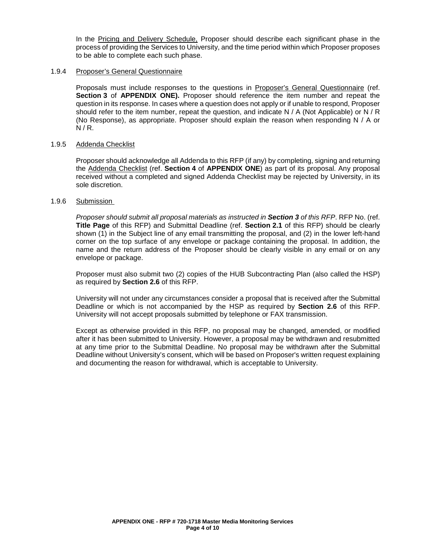In the Pricing and Delivery Schedule, Proposer should describe each significant phase in the process of providing the Services to University, and the time period within which Proposer proposes to be able to complete each such phase.

### 1.9.4 Proposer's General Questionnaire

Proposals must include responses to the questions in Proposer's General Questionnaire (ref. **Section 3** of **APPENDIX ONE).** Proposer should reference the item number and repeat the question in its response. In cases where a question does not apply or if unable to respond, Proposer should refer to the item number, repeat the question, and indicate N / A (Not Applicable) or N / R (No Response), as appropriate. Proposer should explain the reason when responding N / A or  $N/R$ .

### 1.9.5 Addenda Checklist

Proposer should acknowledge all Addenda to this RFP (if any) by completing, signing and returning the Addenda Checklist (ref. **Section 4** of **APPENDIX ONE**) as part of its proposal. Any proposal received without a completed and signed Addenda Checklist may be rejected by University, in its sole discretion.

### 1.9.6 Submission

*Proposer should submit all proposal materials as instructed in Section 3 of this RFP*. RFP No. (ref. **Title Page** of this RFP) and Submittal Deadline (ref. **Section 2.1** of this RFP) should be clearly shown (1) in the Subject line of any email transmitting the proposal, and (2) in the lower left-hand corner on the top surface of any envelope or package containing the proposal. In addition, the name and the return address of the Proposer should be clearly visible in any email or on any envelope or package.

Proposer must also submit two (2) copies of the HUB Subcontracting Plan (also called the HSP) as required by **Section 2.6** of this RFP.

University will not under any circumstances consider a proposal that is received after the Submittal Deadline or which is not accompanied by the HSP as required by **Section 2.6** of this RFP. University will not accept proposals submitted by telephone or FAX transmission.

Except as otherwise provided in this RFP, no proposal may be changed, amended, or modified after it has been submitted to University. However, a proposal may be withdrawn and resubmitted at any time prior to the Submittal Deadline. No proposal may be withdrawn after the Submittal Deadline without University's consent, which will be based on Proposer's written request explaining and documenting the reason for withdrawal, which is acceptable to University.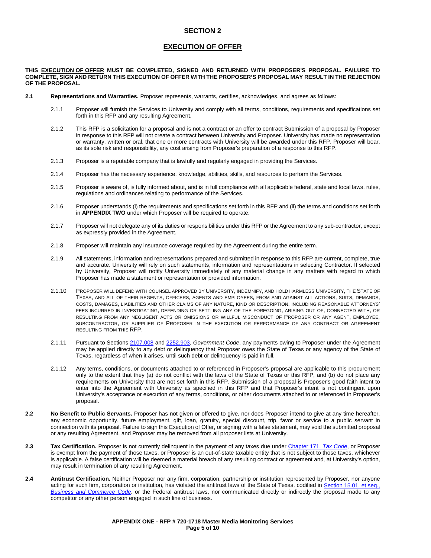### **SECTION 2**

#### **EXECUTION OF OFFER**

**THIS EXECUTION OF OFFER MUST BE COMPLETED, SIGNED AND RETURNED WITH PROPOSER'S PROPOSAL. FAILURE TO COMPLETE, SIGN AND RETURN THIS EXECUTION OF OFFER WITH THE PROPOSER'S PROPOSAL MAY RESULT IN THE REJECTION OF THE PROPOSAL.** 

- **2.1 Representations and Warranties.** Proposer represents, warrants, certifies, acknowledges, and agrees as follows:
	- 2.1.1 Proposer will furnish the Services to University and comply with all terms, conditions, requirements and specifications set forth in this RFP and any resulting Agreement.
	- 2.1.2 This RFP is a solicitation for a proposal and is not a contract or an offer to contract Submission of a proposal by Proposer in response to this RFP will not create a contract between University and Proposer. University has made no representation or warranty, written or oral, that one or more contracts with University will be awarded under this RFP. Proposer will bear, as its sole risk and responsibility, any cost arising from Proposer's preparation of a response to this RFP.
	- 2.1.3 Proposer is a reputable company that is lawfully and regularly engaged in providing the Services.
	- 2.1.4 Proposer has the necessary experience, knowledge, abilities, skills, and resources to perform the Services.
	- 2.1.5 Proposer is aware of, is fully informed about, and is in full compliance with all applicable federal, state and local laws, rules, regulations and ordinances relating to performance of the Services.
	- 2.1.6 Proposer understands (i) the requirements and specifications set forth in this RFP and (ii) the terms and conditions set forth in **APPENDIX TWO** under which Proposer will be required to operate.
	- 2.1.7 Proposer will not delegate any of its duties or responsibilities under this RFP or the Agreement to any sub-contractor, except as expressly provided in the Agreement.
	- 2.1.8 Proposer will maintain any insurance coverage required by the Agreement during the entire term.
	- 2.1.9 All statements, information and representations prepared and submitted in response to this RFP are current, complete, true and accurate. University will rely on such statements, information and representations in selecting Contractor. If selected by University, Proposer will notify University immediately of any material change in any matters with regard to which Proposer has made a statement or representation or provided information.
	- 2.1.10 PROPOSER WILL DEFEND WITH COUNSEL APPROVED BY UNIVERSITY, INDEMNIFY, AND HOLD HARMLESS UNIVERSITY, THE STATE OF TEXAS, AND ALL OF THEIR REGENTS, OFFICERS, AGENTS AND EMPLOYEES, FROM AND AGAINST ALL ACTIONS, SUITS, DEMANDS, COSTS, DAMAGES, LIABILITIES AND OTHER CLAIMS OF ANY NATURE, KIND OR DESCRIPTION, INCLUDING REASONABLE ATTORNEYS' FEES INCURRED IN INVESTIGATING, DEFENDING OR SETTLING ANY OF THE FOREGOING, ARISING OUT OF, CONNECTED WITH, OR RESULTING FROM ANY NEGLIGENT ACTS OR OMISSIONS OR WILLFUL MISCONDUCT OF PROPOSER OR ANY AGENT, EMPLOYEE, SUBCONTRACTOR, OR SUPPLIER OF PROPOSER IN THE EXECUTION OR PERFORMANCE OF ANY CONTRACT OR AGREEMENT RESULTING FROM THIS RFP.
	- 2.1.11 Pursuant to Section[s 2107.008](http://www.statutes.legis.state.tx.us/Docs/GV/htm/GV.2107.htm#2107.008) and [2252.903,](http://www.statutes.legis.state.tx.us/Docs/GV/htm/GV.2252.htm#2252.903) *Government Code*, any payments owing to Proposer under the Agreement may be applied directly to any debt or delinquency that Proposer owes the State of Texas or any agency of the State of Texas, regardless of when it arises, until such debt or delinquency is paid in full.
	- 2.1.12 Any terms, conditions, or documents attached to or referenced in Proposer's proposal are applicable to this procurement only to the extent that they (a) do not conflict with the laws of the State of Texas or this RFP, and (b) do not place any requirements on University that are not set forth in this RFP. Submission of a proposal is Proposer's good faith intent to enter into the Agreement with University as specified in this RFP and that Proposer's intent is not contingent upon University's acceptance or execution of any terms, conditions, or other documents attached to or referenced in Proposer's proposal.
- **2.2 No Benefit to Public Servants.** Proposer has not given or offered to give, nor does Proposer intend to give at any time hereafter, any economic opportunity, future employment, gift, loan, gratuity, special discount, trip, favor or service to a public servant in connection with its proposal. Failure to sign this Execution of Offer, or signing with a false statement, may void the submitted proposal or any resulting Agreement, and Proposer may be removed from all proposer lists at University.
- **2.3 Tax Certification.** Proposer is not currently delinquent in the payment of any taxes due under Chapter 171, *[Tax Code](http://www.statutes.legis.state.tx.us/Docs/TX/htm/TX.171.htm)*, or Proposer is exempt from the payment of those taxes, or Proposer is an out-of-state taxable entity that is not subject to those taxes, whichever is applicable. A false certification will be deemed a material breach of any resulting contract or agreement and, at University's option, may result in termination of any resulting Agreement.
- **2.4 Antitrust Certification.** Neither Proposer nor any firm, corporation, partnership or institution represented by Proposer, nor anyone acting for such firm, corporation or institution, has violated the antitrust laws of the State of Texas, codified in Section [15.01, et seq.,](http://www.statutes.legis.state.tx.us/Docs/BC/htm/BC.15.htm)  *[Business and Commerce Code](http://www.statutes.legis.state.tx.us/Docs/BC/htm/BC.15.htm)*, or the Federal antitrust laws, nor communicated directly or indirectly the proposal made to any competitor or any other person engaged in such line of business.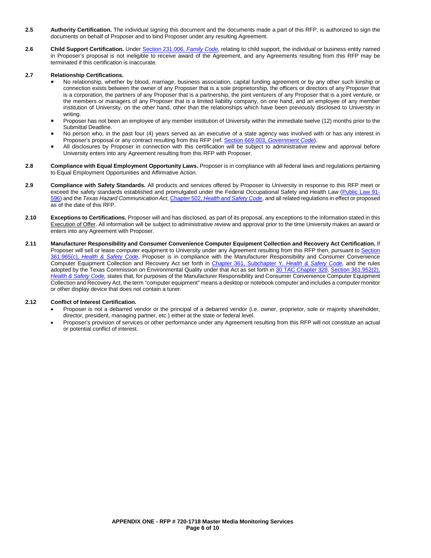- **2.5 Authority Certification.** The individual signing this document and the documents made a part of this RFP, is authorized to sign the documents on behalf of Proposer and to bind Proposer under any resulting Agreement.
- **2.6 Child Support Certification.** Under Section 231.006, *[Family Code,](http://www.statutes.legis.state.tx.us/Docs/FA/htm/FA.231.htm#231.006)* relating to child support, the individual or business entity named in Proposer's proposal is not ineligible to receive award of the Agreement, and any Agreements resulting from this RFP may be terminated if this certification is inaccurate.

#### **2.7 Relationship Certifications.**

- No relationship, whether by blood, marriage, business association, capital funding agreement or by any other such kinship or connection exists between the owner of any Proposer that is a sole proprietorship, the officers or directors of any Proposer that is a corporation, the partners of any Proposer that is a partnership, the joint venturers of any Proposer that is a joint venture, or the members or managers of any Proposer that is a limited liability company, on one hand, and an employee of any member institution of University, on the other hand, other than the relationships which have been previously disclosed to University in writing.
- Proposer has not been an employee of any member institution of University within the immediate twelve (12) months prior to the Submittal Deadline.
- No person who, in the past four (4) years served as an executive of a state agency was involved with or has any interest in Proposer's proposal or any contract resulting from this RFP (ref. Section 669.003, *[Government Code](http://www.statutes.legis.state.tx.us/Docs/GV/htm/GV.669.htm#669.003)*).
- All disclosures by Proposer in connection with this certification will be subject to administrative review and approval before University enters into any Agreement resulting from this RFP with Proposer.
- **2.8 Compliance with Equal Employment Opportunity Laws.** Proposer is in compliance with all federal laws and regulations pertaining to Equal Employment Opportunities and Affirmative Action.
- **2.9 Compliance with Safety Standards.** All products and services offered by Proposer to University in response to this RFP meet or exceed the safety standards established and promulgated under the Federal Occupational Safety and Health Law [\(Public Law 91-](https://www.osha.gov/pls/oshaweb/owadisp.show_document?p_table=OSHACT&p_id=2743) [596\)](https://www.osha.gov/pls/oshaweb/owadisp.show_document?p_table=OSHACT&p_id=2743) and the *Texas Hazard Communication Act*, Chapter 502, *[Health and Safety Code](http://www.statutes.legis.state.tx.us/Docs/HS/htm/HS.502.htm)*, and all related regulations in effect or proposed as of the date of this RFP.
- **2.10 Exceptions to Certifications.** Proposer will and has disclosed, as part of its proposal, any exceptions to the information stated in this Execution of Offer. All information will be subject to administrative review and approval prior to the time University makes an award or enters into any Agreement with Proposer.
- **2.11 Manufacturer Responsibility and Consumer Convenience Computer Equipment Collection and Recovery Act Certification.** If Proposer will sell or lease computer equipment to University under any Agreement resulting from this RFP then, pursuant to Section 361.965(c), *[Health & Safety Code](http://www.statutes.legis.state.tx.us/Docs/HS/htm/HS.361.htm#361.965)*, Proposer is in compliance with the Manufacturer Responsibility and Consumer Convenience Computer Equipment Collection and Recovery Act set forth in [Chapter 361, Subchapter Y,](http://www.statutes.legis.state.tx.us/Docs/HS/htm/HS.361.htm#Y) *Health & Safety Code,* and the rules adopted by the Texas Commission on Environmental Quality under that Act as set forth in [30 TAC Chapter 328.](http://texreg.sos.state.tx.us/public/readtac$ext.ViewTAC?tac_view=5&ti=30&pt=1&ch=328&sch=I&rl=Y) [Section 361.952\(2\),](http://www.statutes.legis.state.tx.us/Docs/HS/htm/HS.361.htm#361.952) *[Health & Safety Code,](http://www.statutes.legis.state.tx.us/Docs/HS/htm/HS.361.htm#361.952)* states that, for purposes of the Manufacturer Responsibility and Consumer Convenience Computer Equipment Collection and Recovery Act*,* the term "computer equipment" means a desktop or notebook computer and includes a computer monitor or other display device that does not contain a tuner.

#### **2.12 Conflict of Interest Certification.**

- Proposer is not a debarred vendor or the principal of a debarred vendor (i.e. owner, proprietor, sole or majority shareholder, director, president, managing partner, etc.) either at the state or federal level.
- Proposer's provision of services or other performance under any Agreement resulting from this RFP will not constitute an actual or potential conflict of interest.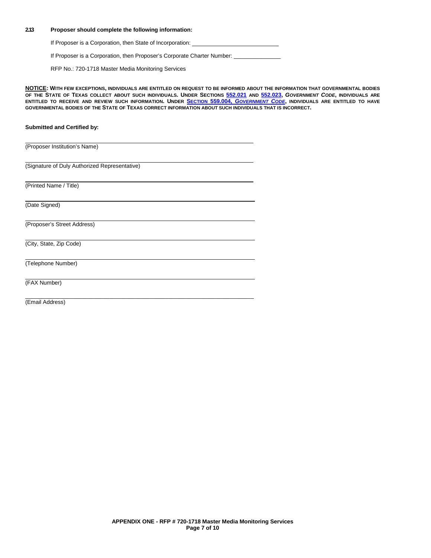#### **2.13 Proposer should complete the following information:**

If Proposer is a Corporation, then State of Incorporation:

If Proposer is a Corporation, then Proposer's Corporate Charter Number: \_

RFP No.: 720-1718 Master Media Monitoring Services

\_\_\_\_\_\_\_\_\_\_\_\_\_\_\_\_\_\_\_\_\_\_\_\_\_\_\_\_\_\_\_\_\_\_\_\_\_\_\_\_\_\_\_\_\_\_\_\_\_\_\_\_\_\_\_\_\_\_\_\_\_\_\_\_\_\_\_\_\_\_\_\_\_

**NOTICE: WITH FEW EXCEPTIONS, INDIVIDUALS ARE ENTITLED ON REQUEST TO BE INFORMED ABOUT THE INFORMATION THAT GOVERNMENTAL BODIES OF THE STATE OF TEXAS COLLECT ABOUT SUCH INDIVIDUALS. UNDER SECTIONS [552.021](http://www.statutes.legis.state.tx.us/Docs/GV/htm/GV.552.htm#552.021) AND [552.023,](http://www.statutes.legis.state.tx.us/Docs/GV/htm/GV.552.htm#552.023)** *GOVERNMENT CODE***, INDIVIDUALS ARE ENTITLED TO RECEIVE AND REVIEW SUCH INFORMATION. UNDER SECTION 559.004,** *[GOVERNMENT CODE](http://www.statutes.legis.state.tx.us/Docs/GV/htm/GV.559.htm#559.004)***, INDIVIDUALS ARE ENTITLED TO HAVE GOVERNMENTAL BODIES OF THE STATE OF TEXAS CORRECT INFORMATION ABOUT SUCH INDIVIDUALS THAT IS INCORRECT.**

#### **Submitted and Certified by:**

(Proposer Institution's Name)

(Signature of Duly Authorized Representative)

(Printed Name / Title)

(Date Signed)

(Proposer's Street Address)

(City, State, Zip Code)

(Telephone Number)

(FAX Number)

(Email Address)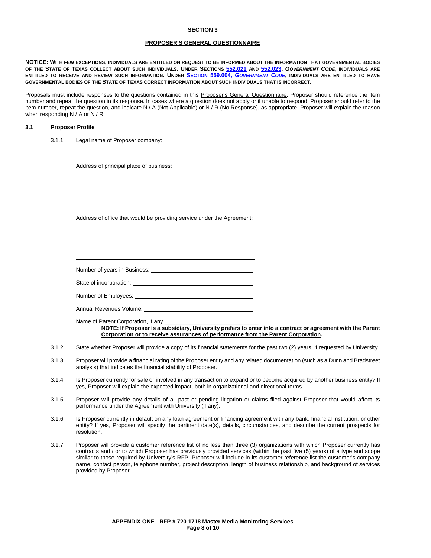#### **SECTION 3**

#### **PROPOSER'S GENERAL QUESTIONNAIRE**

**NOTICE: WITH FEW EXCEPTIONS, INDIVIDUALS ARE ENTITLED ON REQUEST TO BE INFORMED ABOUT THE INFORMATION THAT GOVERNMENTAL BODIES OF THE STATE OF TEXAS COLLECT ABOUT SUCH INDIVIDUALS. UNDER SECTIONS [552.021](http://www.statutes.legis.state.tx.us/Docs/GV/htm/GV.552.htm#552.021) AND [552.023,](http://www.statutes.legis.state.tx.us/Docs/GV/htm/GV.552.htm#552.023)** *GOVERNMENT CODE***, INDIVIDUALS ARE ENTITLED TO RECEIVE AND REVIEW SUCH INFORMATION. UNDER SECTION 559.004,** *[GOVERNMENT CODE](http://www.statutes.legis.state.tx.us/Docs/GV/htm/GV.559.htm#559.004)***, INDIVIDUALS ARE ENTITLED TO HAVE GOVERNMENTAL BODIES OF THE STATE OF TEXAS CORRECT INFORMATION ABOUT SUCH INDIVIDUALS THAT IS INCORRECT.**

Proposals must include responses to the questions contained in this Proposer's General Questionnaire. Proposer should reference the item number and repeat the question in its response. In cases where a question does not apply or if unable to respond, Proposer should refer to the item number, repeat the question, and indicate N / A (Not Applicable) or N / R (No Response), as appropriate. Proposer will explain the reason when responding N / A or N / R.

#### **3.1 Proposer Profile**

3.1.1 Legal name of Proposer company:

Address of principal place of business:

Address of office that would be providing service under the Agreement:

Number of years in Business:

State of incorporation:

Number of Employees:

Annual Revenues Volume:

Name of Parent Corporation, if any

**NOTE: If Proposer is a subsidiary, University prefers to enter into a contract or agreement with the Parent Corporation or to receive assurances of performance from the Parent Corporation.** 

- 3.1.2 State whether Proposer will provide a copy of its financial statements for the past two (2) years, if requested by University.
- 3.1.3 Proposer will provide a financial rating of the Proposer entity and any related documentation (such as a Dunn and Bradstreet analysis) that indicates the financial stability of Proposer.
- 3.1.4 Is Proposer currently for sale or involved in any transaction to expand or to become acquired by another business entity? If yes, Proposer will explain the expected impact, both in organizational and directional terms.
- 3.1.5 Proposer will provide any details of all past or pending litigation or claims filed against Proposer that would affect its performance under the Agreement with University (if any).
- 3.1.6 Is Proposer currently in default on any loan agreement or financing agreement with any bank, financial institution, or other entity? If yes, Proposer will specify the pertinent date(s), details, circumstances, and describe the current prospects for resolution.
- 3.1.7 Proposer will provide a customer reference list of no less than three (3) organizations with which Proposer currently has contracts and / or to which Proposer has previously provided services (within the past five (5) years) of a type and scope similar to those required by University's RFP. Proposer will include in its customer reference list the customer's company name, contact person, telephone number, project description, length of business relationship, and background of services provided by Proposer.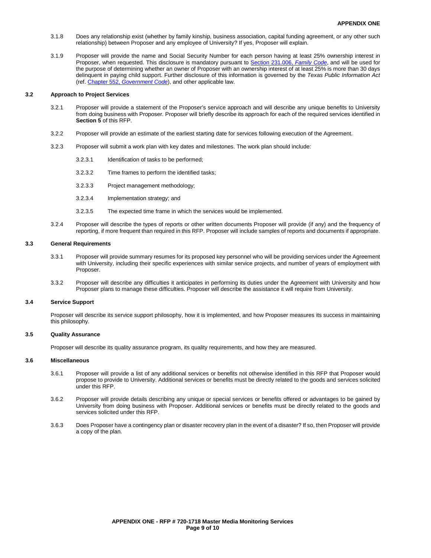- 3.1.8 Does any relationship exist (whether by family kinship, business association, capital funding agreement, or any other such relationship) between Proposer and any employee of University? If yes, Proposer will explain.
- 3.1.9 Proposer will provide the name and Social Security Number for each person having at least 25% ownership interest in Proposer, when requested. This disclosure is mandatory pursuant to [Section 231.006,](http://www.statutes.legis.state.tx.us/Docs/FA/htm/FA.231.htm#231.006) *Family Code*, and will be used for the purpose of determining whether an owner of Proposer with an ownership interest of at least 25% is more than 30 days delinquent in paying child support. Further disclosure of this information is governed by the *Texas Public Information Act* (ref. Chapter 552, *[Government Code](http://www.statutes.legis.state.tx.us/Docs/GV/htm/GV.552.htm)*), and other applicable law.

#### **3.2 Approach to Project Services**

- 3.2.1 Proposer will provide a statement of the Proposer's service approach and will describe any unique benefits to University from doing business with Proposer. Proposer will briefly describe its approach for each of the required services identified in **Section 5** of this RFP.
- 3.2.2 Proposer will provide an estimate of the earliest starting date for services following execution of the Agreement.
- 3.2.3 Proposer will submit a work plan with key dates and milestones. The work plan should include:
	- 3.2.3.1 Identification of tasks to be performed;
	- 3.2.3.2 Time frames to perform the identified tasks;
	- 3.2.3.3 Project management methodology;
	- 3.2.3.4 Implementation strategy; and
	- 3.2.3.5 The expected time frame in which the services would be implemented.
- 3.2.4 Proposer will describe the types of reports or other written documents Proposer will provide (if any) and the frequency of reporting, if more frequent than required in this RFP. Proposer will include samples of reports and documents if appropriate.

#### **3.3 General Requirements**

- 3.3.1 Proposer will provide summary resumes for its proposed key personnel who will be providing services under the Agreement with University, including their specific experiences with similar service projects, and number of years of employment with **Proposer**
- 3.3.2 Proposer will describe any difficulties it anticipates in performing its duties under the Agreement with University and how Proposer plans to manage these difficulties. Proposer will describe the assistance it will require from University.

#### **3.4 Service Support**

Proposer will describe its service support philosophy, how it is implemented, and how Proposer measures its success in maintaining this philosophy.

#### **3.5 Quality Assurance**

Proposer will describe its quality assurance program, its quality requirements, and how they are measured.

#### **3.6 Miscellaneous**

- 3.6.1 Proposer will provide a list of any additional services or benefits not otherwise identified in this RFP that Proposer would propose to provide to University. Additional services or benefits must be directly related to the goods and services solicited under this RFP.
- 3.6.2 Proposer will provide details describing any unique or special services or benefits offered or advantages to be gained by University from doing business with Proposer. Additional services or benefits must be directly related to the goods and services solicited under this RFP.
- 3.6.3 Does Proposer have a contingency plan or disaster recovery plan in the event of a disaster? If so, then Proposer will provide a copy of the plan.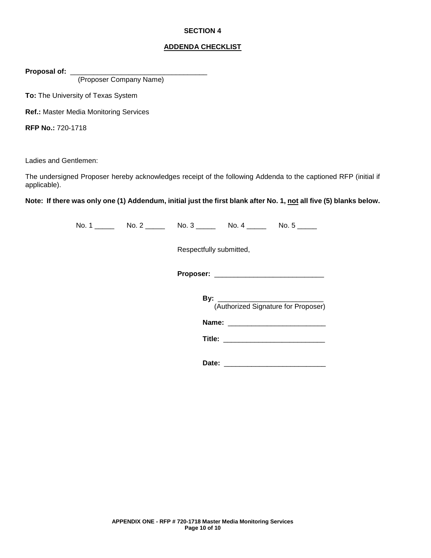### **SECTION 4**

### **ADDENDA CHECKLIST**

Proposal of: \_

(Proposer Company Name)

**To:** The University of Texas System

**Ref.:** Master Media Monitoring Services

**RFP No.:** 720-1718

Ladies and Gentlemen:

The undersigned Proposer hereby acknowledges receipt of the following Addenda to the captioned RFP (initial if applicable).

**Note: If there was only one (1) Addendum, initial just the first blank after No. 1, not all five (5) blanks below.**

No. 1 \_\_\_\_\_ No. 2 \_\_\_\_\_ No. 3 \_\_\_\_\_ No. 4 \_\_\_\_\_ No. 5 \_\_\_\_\_ Respectfully submitted, **Proposer:** \_\_\_\_\_\_\_\_\_\_\_\_\_\_\_\_\_\_\_\_\_\_\_\_\_\_\_\_

> **By:** \_\_\_\_\_\_\_\_\_\_\_\_\_\_\_\_\_\_\_\_\_\_\_\_\_\_\_ (Authorized Signature for Proposer)

> **Name:**  $\blacksquare$

**Title:** \_\_\_\_\_\_\_\_\_\_\_\_\_\_\_\_\_\_\_\_\_\_\_\_\_\_

**Date:** \_\_\_\_\_\_\_\_\_\_\_\_\_\_\_\_\_\_\_\_\_\_\_\_\_\_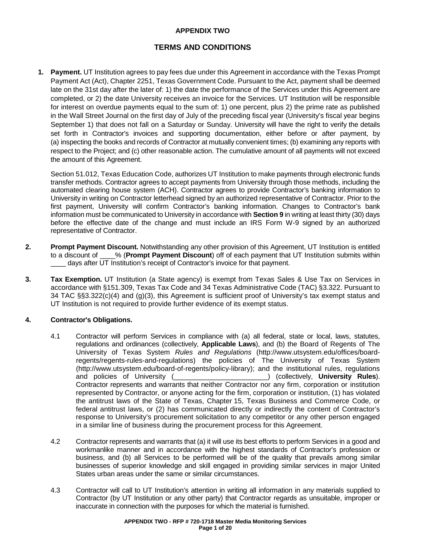## **APPENDIX TWO**

# **TERMS AND CONDITIONS**

**1. Payment.** UT Institution agrees to pay fees due under this Agreement in accordance with the Texas Prompt Payment Act (Act), [Chapter 2251, Texas Government Code.](http://www.statutes.legis.state.tx.us/Docs/GV/htm/GV.2251.htm) Pursuant to the Act, payment shall be deemed late on the 31st day after the later of: 1) the date the performance of the Services under this Agreement are completed, or 2) the date University receives an invoice for the Services. UT Institution will be responsible for interest on overdue payments equal to the sum of: 1) one percent, plus 2) the prime rate as published in the Wall Street Journal on the first day of July of the preceding fiscal year (University's fiscal year begins September 1) that does not fall on a Saturday or Sunday. University will have the right to verify the details set forth in Contractor's invoices and supporting documentation, either before or after payment, by (a) inspecting the books and records of Contractor at mutually convenient times; (b) examining any reports with respect to the Project; and (c) other reasonable action. The cumulative amount of all payments will not exceed the amount of this Agreement.

[Section 51.012, Texas Education Code,](http://www.statutes.legis.state.tx.us/Docs/ED/htm/ED.51.htm#51.012) authorizes UT Institution to make payments through electronic funds transfer methods. Contractor agrees to accept payments from University through those methods, including the automated clearing house system (ACH). Contractor agrees to provide Contractor's banking information to University in writing on Contractor letterhead signed by an authorized representative of Contractor. Prior to the first payment, University will confirm Contractor's banking information. Changes to Contractor's bank information must be communicated to University in accordance with **Section 9** in writing at least thirty (30) days before the effective date of the change and must include an [IRS Form W-9](https://www.irs.gov/uac/about-form-w9) signed by an authorized representative of Contractor.

- **2. Prompt Payment Discount.** Notwithstanding any other provision of this Agreement, UT Institution is entitled to a discount of  $\%$  (Prompt Payment Discount) off of each payment that UT Institution submits within % (**Prompt Payment Discount**) off of each payment that UT Institution submits within days after UT Institution's receipt of Contractor's invoice for that payment.
- **3. <b>Tax Exemption.** UT Institution (a State agency) is exempt from Texas Sales & Use Tax on Services in accordance with [§151.309, Texas Tax Code](http://www.statutes.legis.state.tx.us/Docs/TX/htm/TX.151.htm#151.309) and 34 [Texas Administrative Code \(TAC\) §3.322.](http://texreg.sos.state.tx.us/public/readtac$ext.TacPage?sl=R&app=9&p_dir=&p_rloc=&p_tloc=&p_ploc=&pg=1&p_tac=&ti=34&pt=1&ch=3&rl=322) Pursuant to [34 TAC §§3.322\(](http://texreg.sos.state.tx.us/public/readtac$ext.TacPage?sl=R&app=9&p_dir=&p_rloc=&p_tloc=&p_ploc=&pg=1&p_tac=&ti=34&pt=1&ch=3&rl=322)c)(4) and (g)(3), this Agreement is sufficient proof of University's tax exempt status and UT Institution is not required to provide further evidence of its exempt status.

### **4. Contractor's Obligations.**

- 4.1 Contractor will perform Services in compliance with (a) all federal, state or local, laws, statutes, regulations and ordinances (collectively, **Applicable Laws**), and (b) the Board of Regents of The University of Texas System *Rules and Regulations* [\(http://www.utsystem.edu/offices/board](http://www.utsystem.edu/offices/board-regents/regents-rules-and-regulations)[regents/regents-rules-and-regulations\)](http://www.utsystem.edu/offices/board-regents/regents-rules-and-regulations) the policies of The University of Texas System [\(http://www.utsystem.edu/board-of-regents/policy-library\)](http://www.utsystem.edu/board-of-regents/policy-library); and the institutional rules, regulations and policies of University (
<br>
and policies of University (
) (collectively, **University Rules**). ) (collectively, **University Rules**). Contractor represents and warrants that neither Contractor nor any firm, corporation or institution represented by Contractor, or anyone acting for the firm, corporation or institution, (1) has violated the antitrust laws of the State of Texas, Chapter [15, Texas Business and Commerce Code,](http://www.statutes.legis.state.tx.us/Docs/BC/htm/BC.15.htm) or federal antitrust laws, or (2) has communicated directly or indirectly the content of Contractor's response to University's procurement solicitation to any competitor or any other person engaged in a similar line of business during the procurement process for this Agreement.
- 4.2 Contractor represents and warrants that (a) it will use its best efforts to perform Services in a good and workmanlike manner and in accordance with the highest standards of Contractor's profession or business, and (b) all Services to be performed will be of the quality that prevails among similar businesses of superior knowledge and skill engaged in providing similar services in major United States urban areas under the same or similar circumstances.
- 4.3 Contractor will call to UT Institution's attention in writing all information in any materials supplied to Contractor (by UT Institution or any other party) that Contractor regards as unsuitable, improper or inaccurate in connection with the purposes for which the material is furnished.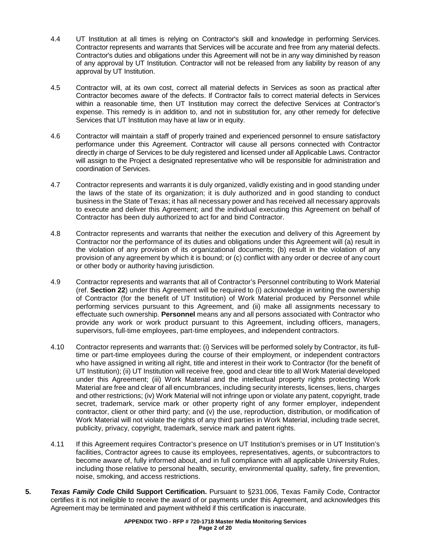- 4.4 UT Institution at all times is relying on Contractor's skill and knowledge in performing Services. Contractor represents and warrants that Services will be accurate and free from any material defects. Contractor's duties and obligations under this Agreement will not be in any way diminished by reason of any approval by UT Institution. Contractor will not be released from any liability by reason of any approval by UT Institution.
- 4.5 Contractor will, at its own cost, correct all material defects in Services as soon as practical after Contractor becomes aware of the defects. If Contractor fails to correct material defects in Services within a reasonable time, then UT Institution may correct the defective Services at Contractor's expense. This remedy is in addition to, and not in substitution for, any other remedy for defective Services that UT Institution may have at law or in equity.
- 4.6 Contractor will maintain a staff of properly trained and experienced personnel to ensure satisfactory performance under this Agreement. Contractor will cause all persons connected with Contractor directly in charge of Services to be duly registered and licensed under all Applicable Laws. Contractor will assign to the Project a designated representative who will be responsible for administration and coordination of Services.
- 4.7 Contractor represents and warrants it is duly organized, validly existing and in good standing under the laws of the state of its organization; it is duly authorized and in good standing to conduct business in the State of Texas; it has all necessary power and has received all necessary approvals to execute and deliver this Agreement; and the individual executing this Agreement on behalf of Contractor has been duly authorized to act for and bind Contractor.
- 4.8 Contractor represents and warrants that neither the execution and delivery of this Agreement by Contractor nor the performance of its duties and obligations under this Agreement will (a) result in the violation of any provision of its organizational documents; (b) result in the violation of any provision of any agreement by which it is bound; or (c) conflict with any order or decree of any court or other body or authority having jurisdiction.
- 4.9 Contractor represents and warrants that all of Contractor's Personnel contributing to Work Material (ref. **Section 22**) under this Agreement will be required to (i) acknowledge in writing the ownership of Contractor (for the benefit of UT Institution) of Work Material produced by Personnel while performing services pursuant to this Agreement, and (ii) make all assignments necessary to effectuate such ownership. **Personnel** means any and all persons associated with Contractor who provide any work or work product pursuant to this Agreement, including officers, managers, supervisors, full-time employees, part-time employees, and independent contractors.
- 4.10 Contractor represents and warrants that: (i) Services will be performed solely by Contractor, its fulltime or part-time employees during the course of their employment, or independent contractors who have assigned in writing all right, title and interest in their work to Contractor (for the benefit of UT Institution); (ii) UT Institution will receive free, good and clear title to all Work Material developed under this Agreement; (iii) Work Material and the intellectual property rights protecting Work Material are free and clear of all encumbrances, including security interests, licenses, liens, charges and other restrictions; (iv) Work Material will not infringe upon or violate any patent, copyright, trade secret, trademark, service mark or other property right of any former employer, independent contractor, client or other third party; and (v) the use, reproduction, distribution, or modification of Work Material will not violate the rights of any third parties in Work Material, including trade secret, publicity, privacy, copyright, trademark, service mark and patent rights.
- 4.11 If this Agreement requires Contractor's presence on UT Institution's premises or in UT Institution's facilities, Contractor agrees to cause its employees, representatives, agents, or subcontractors to become aware of, fully informed about, and in full compliance with all applicable University Rules, including those relative to personal health, security, environmental quality, safety, fire prevention, noise, smoking, and access restrictions.
- **5.** *Texas Family Code* **Child Support Certification.** Pursuant to [§231.006, Texas Family Code,](http://www.statutes.legis.state.tx.us/Docs/FA/htm/FA.231.htm#231.006) Contractor certifies it is not ineligible to receive the award of or payments under this Agreement, and acknowledges this Agreement may be terminated and payment withheld if this certification is inaccurate.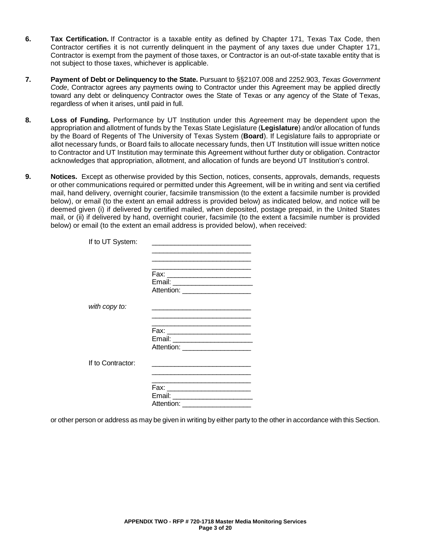- **6. Tax Certification.** If Contractor is a taxable entity as defined by [Chapter 171, Texas Tax Code,](http://www.statutes.legis.state.tx.us/Docs/TX/htm/TX.171.htm) then Contractor certifies it is not currently delinquent in the payment of any taxes due under Chapter 171, Contractor is exempt from the payment of those taxes, or Contractor is an out-of-state taxable entity that is not subject to those taxes, whichever is applicable.
- **7. Payment of Debt or Delinquency to the State.** Pursuant to [§§2107.008](http://www.statutes.legis.state.tx.us/Docs/GV/htm/GV.2107.htm#2107.008) and [2252.903,](http://www.statutes.legis.state.tx.us/Docs/GV/htm/GV.2252.htm#2252.903) *Texas Government Code*, Contractor agrees any payments owing to Contractor under this Agreement may be applied directly toward any debt or delinquency Contractor owes the State of Texas or any agency of the State of Texas, regardless of when it arises, until paid in full.
- **8. Loss of Funding.** Performance by UT Institution under this Agreement may be dependent upon the appropriation and allotment of funds by the Texas State Legislature (**Legislature**) and/or allocation of funds by the Board of Regents of The University of Texas System (**Board**). If Legislature fails to appropriate or allot necessary funds, or Board fails to allocate necessary funds, then UT Institution will issue written notice to Contractor and UT Institution may terminate this Agreement without further duty or obligation. Contractor acknowledges that appropriation, allotment, and allocation of funds are beyond UT Institution's control.
- **9. Notices.** Except as otherwise provided by this Section, notices, consents, approvals, demands, requests or other communications required or permitted under this Agreement, will be in writing and sent via certified mail, hand delivery, overnight courier, facsimile transmission (to the extent a facsimile number is provided below), or email (to the extent an email address is provided below) as indicated below, and notice will be deemed given (i) if delivered by certified mailed, when deposited, postage prepaid, in the United States mail, or (ii) if delivered by hand, overnight courier, facsimile (to the extent a facsimile number is provided below) or email (to the extent an email address is provided below), when received:

| If to UT System:  |                                                                     |
|-------------------|---------------------------------------------------------------------|
|                   |                                                                     |
|                   |                                                                     |
|                   |                                                                     |
|                   |                                                                     |
|                   | Attention: _____________________                                    |
| with copy to:     |                                                                     |
|                   |                                                                     |
|                   |                                                                     |
|                   | Fax: __________________________                                     |
|                   |                                                                     |
|                   | Attention: _____________________                                    |
| If to Contractor: |                                                                     |
|                   |                                                                     |
|                   |                                                                     |
|                   | Email: _________________________<br>Attention: ____________________ |
|                   |                                                                     |

or other person or address as may be given in writing by either party to the other in accordance with this Section.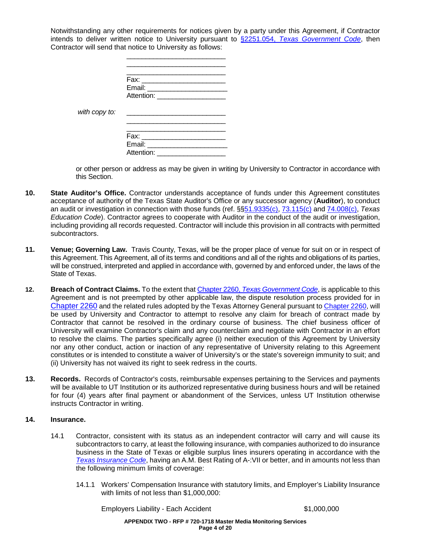Notwithstanding any other requirements for notices given by a party under this Agreement, if Contractor intends to deliver written notice to University pursuant to §2251.054, *[Texas Government Code](http://www.statutes.legis.state.tx.us/Docs/GV/htm/GV.2251.htm#2251.054)*, then Contractor will send that notice to University as follows:

| with copy to: |                                          |
|---------------|------------------------------------------|
|               | Fax:<br>Email: $\_\_\_\_\$<br>Attention: |

\_\_\_\_\_\_\_\_\_\_\_\_\_\_\_\_\_\_\_\_\_\_\_\_\_\_

or other person or address as may be given in writing by University to Contractor in accordance with this Section.

- **10. State Auditor's Office.** Contractor understands acceptance of funds under this Agreement constitutes acceptance of authority of the Texas State Auditor's Office or any successor agency (**Auditor**), to conduct an audit or investigation in connection with those funds (ref. §[§51.9335\(c\),](http://www.statutes.legis.state.tx.us/Docs/ED/htm/ED.51.htm#51.9335) [73.115\(c\)](http://www.statutes.legis.state.tx.us/Docs/ED/htm/ED.73.htm#73.115) and [74.008\(c\),](http://www.statutes.legis.state.tx.us/Docs/ED/htm/ED.74.htm#74.008) *Texas Education Code*). Contractor agrees to cooperate with Auditor in the conduct of the audit or investigation, including providing all records requested. Contractor will include this provision in all contracts with permitted subcontractors.
- **11. Venue; Governing Law.** Travis County, Texas, will be the proper place of venue for suit on or in respect of this Agreement. This Agreement, all of its terms and conditions and all of the rights and obligations of its parties, will be construed, interpreted and applied in accordance with, governed by and enforced under, the laws of the State of Texas.
- **12. Breach of Contract Claims.** To the extent that Chapter 2260, *[Texas Government Code](http://www.statutes.legis.state.tx.us/Docs/GV/htm/GV.2260.htm)*, is applicable to this Agreement and is not preempted by other applicable law, the dispute resolution process provided for in [Chapter 2260](http://www.statutes.legis.state.tx.us/Docs/GV/htm/GV.2260.htm) and the related rules adopted by the Texas Attorney General pursuant t[o Chapter 2260,](http://www.statutes.legis.state.tx.us/Docs/GV/htm/GV.2260.htm) will be used by University and Contractor to attempt to resolve any claim for breach of contract made by Contractor that cannot be resolved in the ordinary course of business. The chief business officer of University will examine Contractor's claim and any counterclaim and negotiate with Contractor in an effort to resolve the claims. The parties specifically agree (i) neither execution of this Agreement by University nor any other conduct, action or inaction of any representative of University relating to this Agreement constitutes or is intended to constitute a waiver of University's or the state's sovereign immunity to suit; and (ii) University has not waived its right to seek redress in the courts.
- **13. Records.** Records of Contractor's costs, reimbursable expenses pertaining to the Services and payments will be available to UT Institution or its authorized representative during business hours and will be retained for four (4) years after final payment or abandonment of the Services, unless UT Institution otherwise instructs Contractor in writing.

### **14. Insurance.**

- 14.1 Contractor, consistent with its status as an independent contractor will carry and will cause its subcontractors to carry, at least the following insurance, with companies authorized to do insurance business in the State of Texas or eligible surplus lines insurers operating in accordance with the *[Texas Insurance Code](http://www.statutes.legis.state.tx.us/)*, having an A.M. Best Rating of A-:VII or better, and in amounts not less than the following minimum limits of coverage:
	- 14.1.1 Workers' Compensation Insurance with statutory limits, and Employer's Liability Insurance with limits of not less than \$1,000,000:

Employers Liability - Each Accident **\$1,000,000**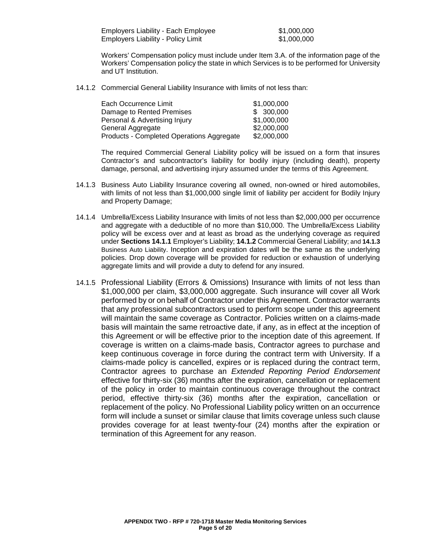| <b>Employers Liability - Each Employee</b> |  |  |
|--------------------------------------------|--|--|
| <b>Employers Liability - Policy Limit</b>  |  |  |

 $$1,000,000$  $$1,000,000$ 

Workers' Compensation policy must include under Item 3.A. of the information page of the Workers' Compensation policy the state in which Services is to be performed for University and UT Institution.

14.1.2 Commercial General Liability Insurance with limits of not less than:

| Each Occurrence Limit                     | \$1,000,000 |
|-------------------------------------------|-------------|
| Damage to Rented Premises                 | \$300,000   |
| Personal & Advertising Injury             | \$1,000,000 |
| General Aggregate                         | \$2,000,000 |
| Products - Completed Operations Aggregate | \$2,000,000 |

The required Commercial General Liability policy will be issued on a form that insures Contractor's and subcontractor's liability for bodily injury (including death), property damage, personal, and advertising injury assumed under the terms of this Agreement.

- 14.1.3 Business Auto Liability Insurance covering all owned, non-owned or hired automobiles, with limits of not less than \$1,000,000 single limit of liability per accident for Bodily Injury and Property Damage;
- 14.1.4 Umbrella/Excess Liability Insurance with limits of not less than \$2,000,000 per occurrence and aggregate with a deductible of no more than \$10,000. The Umbrella/Excess Liability policy will be excess over and at least as broad as the underlying coverage as required under **Sections 14.1.1** Employer's Liability; **14.1.2** Commercial General Liability; and **14.1.3** Business Auto Liability. Inception and expiration dates will be the same as the underlying policies. Drop down coverage will be provided for reduction or exhaustion of underlying aggregate limits and will provide a duty to defend for any insured.
- 14.1.5 Professional Liability (Errors & Omissions) Insurance with limits of not less than \$1,000,000 per claim, \$3,000,000 aggregate. Such insurance will cover all Work performed by or on behalf of Contractor under this Agreement. Contractor warrants that any professional subcontractors used to perform scope under this agreement will maintain the same coverage as Contractor. Policies written on a claims-made basis will maintain the same retroactive date, if any, as in effect at the inception of this Agreement or will be effective prior to the inception date of this agreement. If coverage is written on a claims-made basis, Contractor agrees to purchase and keep continuous coverage in force during the contract term with University. If a claims-made policy is cancelled, expires or is replaced during the contract term, Contractor agrees to purchase an *Extended Reporting Period Endorsement*  effective for thirty-six (36) months after the expiration, cancellation or replacement of the policy in order to maintain continuous coverage throughout the contract period, effective thirty-six (36) months after the expiration, cancellation or replacement of the policy. No Professional Liability policy written on an occurrence form will include a sunset or similar clause that limits coverage unless such clause provides coverage for at least twenty-four (24) months after the expiration or termination of this Agreement for any reason.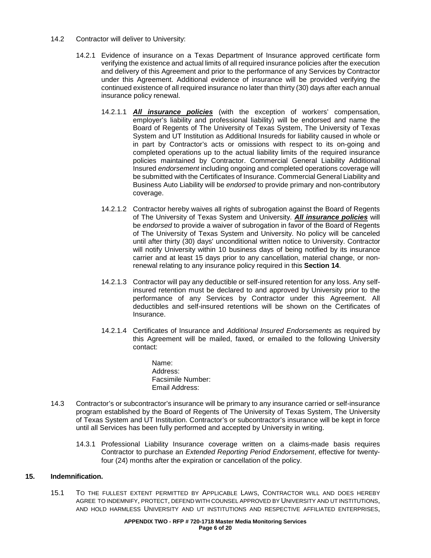- 14.2 Contractor will deliver to University:
	- 14.2.1 Evidence of insurance on a Texas Department of Insurance approved certificate form verifying the existence and actual limits of all required insurance policies after the execution and delivery of this Agreement and prior to the performance of any Services by Contractor under this Agreement. Additional evidence of insurance will be provided verifying the continued existence of all required insurance no later than thirty (30) days after each annual insurance policy renewal.
		- 14.2.1.1 *All insurance policies* (with the exception of workers' compensation, employer's liability and professional liability) will be endorsed and name the Board of Regents of The University of Texas System, The University of Texas System and UT Institution as Additional Insureds for liability caused in whole or in part by Contractor's acts or omissions with respect to its on-going and completed operations up to the actual liability limits of the required insurance policies maintained by Contractor. Commercial General Liability Additional Insured *endorsement* including ongoing and completed operations coverage will be submitted with the Certificates of Insurance. Commercial General Liability and Business Auto Liability will be *endorsed* to provide primary and non-contributory coverage.
		- 14.2.1.2 Contractor hereby waives all rights of subrogation against the Board of Regents of The University of Texas System and University. *All insurance policies* will be *endorsed* to provide a waiver of subrogation in favor of the Board of Regents of The University of Texas System and University. No policy will be canceled until after thirty (30) days' unconditional written notice to University. Contractor will notify University within 10 business days of being notified by its insurance carrier and at least 15 days prior to any cancellation, material change, or nonrenewal relating to any insurance policy required in this **Section 14**.
		- 14.2.1.3 Contractor will pay any deductible or self-insured retention for any loss. Any selfinsured retention must be declared to and approved by University prior to the performance of any Services by Contractor under this Agreement. All deductibles and self-insured retentions will be shown on the Certificates of Insurance.
		- 14.2.1.4 Certificates of Insurance and *Additional Insured Endorsements* as required by this Agreement will be mailed, faxed, or emailed to the following University contact:
			- Name: Address: Facsimile Number: Email Address:
- 14.3 Contractor's or subcontractor's insurance will be primary to any insurance carried or self-insurance program established by the Board of Regents of The University of Texas System, The University of Texas System and UT Institution. Contractor's or subcontractor's insurance will be kept in force until all Services has been fully performed and accepted by University in writing.
	- 14.3.1 Professional Liability Insurance coverage written on a claims-made basis requires Contractor to purchase an *Extended Reporting Period Endorsement*, effective for twentyfour (24) months after the expiration or cancellation of the policy.

### **15. Indemnification.**

15.1 TO THE FULLEST EXTENT PERMITTED BY APPLICABLE LAWS, CONTRACTOR WILL AND DOES HEREBY AGREE TO INDEMNIFY, PROTECT, DEFEND WITH COUNSEL APPROVED BY UNIVERSITY AND UT INSTITUTIONS, AND HOLD HARMLESS UNIVERSITY AND UT INSTITUTIONS AND RESPECTIVE AFFILIATED ENTERPRISES,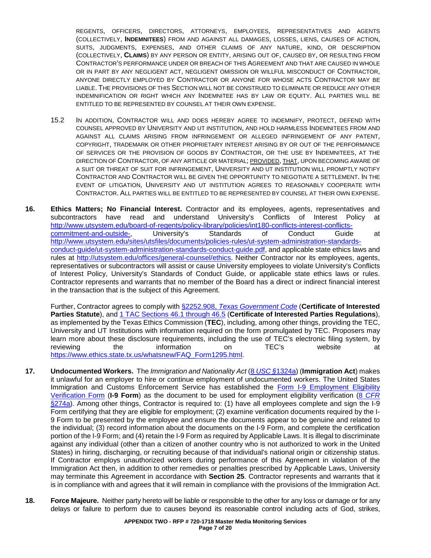REGENTS, OFFICERS, DIRECTORS, ATTORNEYS, EMPLOYEES, REPRESENTATIVES AND AGENTS (COLLECTIVELY, **INDEMNITEES**) FROM AND AGAINST ALL DAMAGES, LOSSES, LIENS, CAUSES OF ACTION, SUITS, JUDGMENTS, EXPENSES, AND OTHER CLAIMS OF ANY NATURE, KIND, OR DESCRIPTION (COLLECTIVELY, **CLAIMS**) BY ANY PERSON OR ENTITY, ARISING OUT OF, CAUSED BY, OR RESULTING FROM CONTRACTOR'S PERFORMANCE UNDER OR BREACH OF THIS AGREEMENT AND THAT ARE CAUSED IN WHOLE OR IN PART BY ANY NEGLIGENT ACT, NEGLIGENT OMISSION OR WILLFUL MISCONDUCT OF CONTRACTOR, ANYONE DIRECTLY EMPLOYED BY CONTRACTOR OR ANYONE FOR WHOSE ACTS CONTRACTOR MAY BE LIABLE. THE PROVISIONS OF THIS SECTION WILL NOT BE CONSTRUED TO ELIMINATE OR REDUCE ANY OTHER INDEMNIFICATION OR RIGHT WHICH ANY INDEMNITEE HAS BY LAW OR EQUITY. ALL PARTIES WILL BE ENTITLED TO BE REPRESENTED BY COUNSEL AT THEIR OWN EXPENSE.

- 15.2 IN ADDITION, CONTRACTOR WILL AND DOES HEREBY AGREE TO INDEMNIFY, PROTECT, DEFEND WITH COUNSEL APPROVED BY UNIVERSITY AND UT INSTITUTION, AND HOLD HARMLESS INDEMNITEES FROM AND AGAINST ALL CLAIMS ARISING FROM INFRINGEMENT OR ALLEGED INFRINGEMENT OF ANY PATENT, COPYRIGHT, TRADEMARK OR OTHER PROPRIETARY INTEREST ARISING BY OR OUT OF THE PERFORMANCE OF SERVICES OR THE PROVISION OF GOODS BY CONTRACTOR, OR THE USE BY INDEMNITEES, AT THE DIRECTION OF CONTRACTOR, OF ANY ARTICLE OR MATERIAL; PROVIDED, THAT, UPON BECOMING AWARE OF A SUIT OR THREAT OF SUIT FOR INFRINGEMENT, UNIVERSITY AND UT INSTITUTION WILL PROMPTLY NOTIFY CONTRACTOR AND CONTRACTOR WILL BE GIVEN THE OPPORTUNITY TO NEGOTIATE A SETTLEMENT. IN THE EVENT OF LITIGATION, UNIVERSITY AND UT INSTITUTION AGREES TO REASONABLY COOPERATE WITH CONTRACTOR. ALL PARTIES WILL BE ENTITLED TO BE REPRESENTED BY COUNSEL AT THEIR OWN EXPENSE.
- **16. Ethics Matters; No Financial Interest.** Contractor and its employees, agents, representatives and subcontractors have read and understand University's Conflicts of Interest Policy at http://www.utsystem.edu/board-of-regents/policy-library/policies/int180-conflicts-interest-conflicts-<br>commitment-and-outside-, University's Standards of Conduct Guide [commitment-and-outside-,](http://www.utsystem.edu/board-of-regents/policy-library/policies/int180-conflicts-interest-conflicts-commitment-and-outside-) University's Standards of Conduct Guide at [http://www.utsystem.edu/sites/utsfiles/documents/policies-rules/ut-system-administration-standards](http://www.utsystem.edu/sites/utsfiles/documents/policies-rules/ut-system-administration-standards-conduct-guide/ut-system-administration-standards-conduct-guide.pdf)[conduct-guide/ut-system-administration-standards-conduct-guide.pdf,](http://www.utsystem.edu/sites/utsfiles/documents/policies-rules/ut-system-administration-standards-conduct-guide/ut-system-administration-standards-conduct-guide.pdf) and applicable state ethics laws and rules at [http://utsystem.edu/offices/general-counsel/ethics.](http://utsystem.edu/offices/general-counsel/ethics) Neither Contractor nor its employees, agents, representatives or subcontractors will assist or cause University employees to violate University's Conflicts of Interest Policy, University's Standards of Conduct Guide, or applicable state ethics laws or rules. Contractor represents and warrants that no member of the Board has a direct or indirect financial interest in the transaction that is the subject of this Agreement.

Further, Contractor agrees to comply with §2252.908, *[Texas Government Code](http://www.statutes.legis.state.tx.us/Docs/GV/htm/GV.2252.htm#2252.908)* (**Certificate of Interested Parties Statute**), and 1 [TAC Sections 46.1 through 46.5](https://www.ethics.state.tx.us/rules/adopted_Nov_2015.html#Ch46.1) (**Certificate of Interested Parties Regulations**), as implemented by the Texas Ethics Commission (**TEC**), including, among other things, providing the TEC, University and UT Institutions with information required on the form promulgated by TEC. Proposers may learn more about these disclosure requirements, including the use of TEC's electronic filing system, by reviewing the information on TEC's website at [https://www.ethics.state.tx.us/whatsnew/FAQ\\_Form1295.html.](https://www.ethics.state.tx.us/whatsnew/FAQ_Form1295.html)

- **17. Undocumented Workers.** The *Immigration and Nationality Act* (8 *USC §*[1324a\)](http://uscode.house.gov/view.xhtml?req=(title:8%20section:1324%20edition:prelim)%20OR%20(granuleid:USC-prelim-title8-section1324)&f=treesort&edition=prelim&num=0&jumpTo=true) (**Immigration Act**) makes it unlawful for an employer to hire or continue employment of undocumented workers. The United States Immigration and Customs Enforcement Service has established the [Form I-9 Employment Eligibility](https://www.uscis.gov/i-9)  [Verification Form](https://www.uscis.gov/i-9) (**I-9 Form**) as the document to be used for employment eligibility verification (8 *[CFR](https://www.uscis.gov/ilink/docView/SLB/HTML/SLB/0-0-0-1/0-0-0-11261/0-0-0-28757.html)* [§274a\)](https://www.uscis.gov/ilink/docView/SLB/HTML/SLB/0-0-0-1/0-0-0-11261/0-0-0-28757.html). Among other things, Contractor is required to: (1) have all employees complete and sign the I-9 Form certifying that they are eligible for employment; (2) examine verification documents required by the I-9 Form to be presented by the employee and ensure the documents appear to be genuine and related to the individual; (3) record information about the documents on the I-9 Form, and complete the certification portion of the I-9 Form; and (4) retain the I-9 Form as required by Applicable Laws. It is illegal to discriminate against any individual (other than a citizen of another country who is not authorized to work in the United States) in hiring, discharging, or recruiting because of that individual's national origin or citizenship status. If Contractor employs unauthorized workers during performance of this Agreement in violation of the Immigration Act then, in addition to other remedies or penalties prescribed by Applicable Laws, University may terminate this Agreement in accordance with **Section 25**. Contractor represents and warrants that it is in compliance with and agrees that it will remain in compliance with the provisions of the Immigration Act.
- **18. Force Majeure.** Neither party hereto will be liable or responsible to the other for any loss or damage or for any delays or failure to perform due to causes beyond its reasonable control including acts of God, strikes,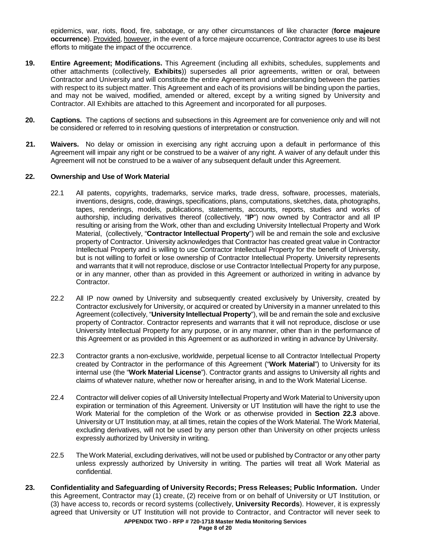epidemics, war, riots, flood, fire, sabotage, or any other circumstances of like character (**force majeure occurrence**). Provided, however, in the event of a force majeure occurrence, Contractor agrees to use its best efforts to mitigate the impact of the occurrence.

- **19. Entire Agreement; Modifications.** This Agreement (including all exhibits, schedules, supplements and other attachments (collectively, **Exhibits**)) supersedes all prior agreements, written or oral, between Contractor and University and will constitute the entire Agreement and understanding between the parties with respect to its subject matter. This Agreement and each of its provisions will be binding upon the parties, and may not be waived, modified, amended or altered, except by a writing signed by University and Contractor. All Exhibits are attached to this Agreement and incorporated for all purposes.
- **20. Captions.** The captions of sections and subsections in this Agreement are for convenience only and will not be considered or referred to in resolving questions of interpretation or construction.
- **21. Waivers.** No delay or omission in exercising any right accruing upon a default in performance of this Agreement will impair any right or be construed to be a waiver of any right. A waiver of any default under this Agreement will not be construed to be a waiver of any subsequent default under this Agreement.

### **22. Ownership and Use of Work Material**

- 22.1 All patents, copyrights, trademarks, service marks, trade dress, software, processes, materials, inventions, designs, code, drawings, specifications, plans, computations, sketches, data, photographs, tapes, renderings, models, publications, statements, accounts, reports, studies and works of authorship, including derivatives thereof (collectively, "**IP**") now owned by Contractor and all IP resulting or arising from the Work, other than and excluding University Intellectual Property and Work Material, (collectively, "**Contractor Intellectual Property**") will be and remain the sole and exclusive property of Contractor. University acknowledges that Contractor has created great value in Contractor Intellectual Property and is willing to use Contractor Intellectual Property for the benefit of University, but is not willing to forfeit or lose ownership of Contractor Intellectual Property. University represents and warrants that it will not reproduce, disclose or use Contractor Intellectual Property for any purpose, or in any manner, other than as provided in this Agreement or authorized in writing in advance by Contractor.
- 22.2 All IP now owned by University and subsequently created exclusively by University, created by Contractor exclusively for University, or acquired or created by University in a manner unrelated to this Agreement (collectively, "**University Intellectual Property**"), will be and remain the sole and exclusive property of Contractor. Contractor represents and warrants that it will not reproduce, disclose or use University Intellectual Property for any purpose, or in any manner, other than in the performance of this Agreement or as provided in this Agreement or as authorized in writing in advance by University.
- 22.3 Contractor grants a non-exclusive, worldwide, perpetual license to all Contractor Intellectual Property created by Contractor in the performance of this Agreement ("**Work Material**") to University for its internal use (the "**Work Material License**"). Contractor grants and assigns to University all rights and claims of whatever nature, whether now or hereafter arising, in and to the Work Material License.
- 22.4 Contractor will deliver copies of all University Intellectual Property and Work Material to University upon expiration or termination of this Agreement. University or UT Institution will have the right to use the Work Material for the completion of the Work or as otherwise provided in **Section 22.3** above. University or UT Institution may, at all times, retain the copies of the Work Material. The Work Material, excluding derivatives, will not be used by any person other than University on other projects unless expressly authorized by University in writing.
- 22.5 The Work Material, excluding derivatives, will not be used or published by Contractor or any other party unless expressly authorized by University in writing. The parties will treat all Work Material as confidential.
- **23. Confidentiality and Safeguarding of University Records; Press Releases; Public Information.** Under this Agreement, Contractor may (1) create, (2) receive from or on behalf of University or UT Institution, or (3) have access to, records or record systems (collectively, **University Records**). However, it is expressly agreed that University or UT Institution will not provide to Contractor, and Contractor will never seek to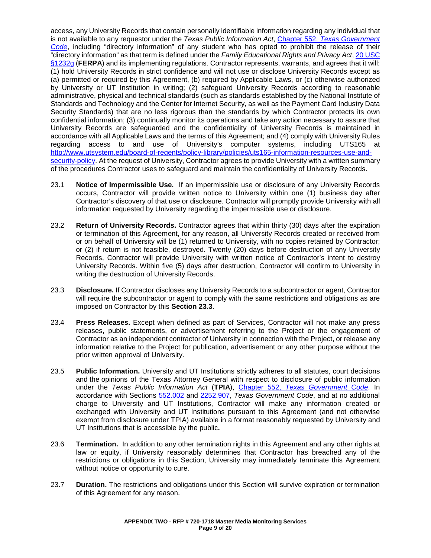access, any University Records that contain personally identifiable information regarding any individual that is not available to any requestor under the *Texas Public Information Act*, Chapter 552, *[Texas Government](http://www.statutes.legis.state.tx.us/Docs/GV/htm/GV.552.htm)  [Code](http://www.statutes.legis.state.tx.us/Docs/GV/htm/GV.552.htm)*, including "directory information" of any student who has opted to prohibit the release of their "directory information" as that term is defined under the *Family Educational Rights and Privacy Act*[, 20 USC](http://uscode.house.gov/view.xhtml?req=(title:20%20section:1232g%20edition:prelim)%20OR%20(granuleid:USC-prelim-title20-section1232g)&f=treesort&edition=prelim&num=0&jumpTo=true)  [§1232g](http://uscode.house.gov/view.xhtml?req=(title:20%20section:1232g%20edition:prelim)%20OR%20(granuleid:USC-prelim-title20-section1232g)&f=treesort&edition=prelim&num=0&jumpTo=true) (FERPA) and its implementing regulations. Contractor represents, warrants, and agrees that it will: (1) hold University Records in strict confidence and will not use or disclose University Records except as (a) permitted or required by this Agreement, (b) required by Applicable Laws, or (c) otherwise authorized by University or UT Institution in writing; (2) safeguard University Records according to reasonable administrative, physical and technical standards (such as standards established by the National Institute of Standards and Technology and the Center for Internet Security, as well as the Payment Card Industry Data Security Standards) that are no less rigorous than the standards by which Contractor protects its own confidential information; (3) continually monitor its operations and take any action necessary to assure that University Records are safeguarded and the confidentiality of University Records is maintained in accordance with all Applicable Laws and the terms of this Agreement; and (4) comply with University Rules regarding access to and use of University's computer systems, including UTS165 at [http://www.utsystem.edu/board-of-regents/policy-library/policies/uts165-information-resources-use-and](http://www.utsystem.edu/board-of-regents/policy-library/policies/uts165-information-resources-use-and-security-policy)[security-policy.](http://www.utsystem.edu/board-of-regents/policy-library/policies/uts165-information-resources-use-and-security-policy) At the request of University, Contractor agrees to provide University with a written summary of the procedures Contractor uses to safeguard and maintain the confidentiality of University Records.

- 23.1 **Notice of Impermissible Use.** If an impermissible use or disclosure of any University Records occurs, Contractor will provide written notice to University within one (1) business day after Contractor's discovery of that use or disclosure. Contractor will promptly provide University with all information requested by University regarding the impermissible use or disclosure.
- 23.2 **Return of University Records.** Contractor agrees that within thirty (30) days after the expiration or termination of this Agreement, for any reason, all University Records created or received from or on behalf of University will be (1) returned to University, with no copies retained by Contractor; or (2) if return is not feasible, destroyed. Twenty (20) days before destruction of any University Records, Contractor will provide University with written notice of Contractor's intent to destroy University Records. Within five (5) days after destruction, Contractor will confirm to University in writing the destruction of University Records.
- 23.3 **Disclosure.** If Contractor discloses any University Records to a subcontractor or agent, Contractor will require the subcontractor or agent to comply with the same restrictions and obligations as are imposed on Contractor by this **Section 23.3**.
- 23.4 **Press Releases.** Except when defined as part of Services, Contractor will not make any press releases, public statements, or advertisement referring to the Project or the engagement of Contractor as an independent contractor of University in connection with the Project, or release any information relative to the Project for publication, advertisement or any other purpose without the prior written approval of University.
- 23.5 **Public Information.** University and UT Institutions strictly adheres to all statutes, court decisions and the opinions of the Texas Attorney General with respect to disclosure of public information under the *Texas Public Information Act* (**TPIA**), Chapter 552, *[Texas Government Code](http://www.statutes.legis.state.tx.us/Docs/GV/htm/GV.552.htm)*. In accordance with Sections [552.002](http://www.statutes.legis.state.tx.us/Docs/GV/htm/GV.552.htm#552.002) and [2252.907,](http://www.statutes.legis.state.tx.us/Docs/GV/htm/GV.2252.htm#2252.907) *Texas Government Code*, and at no additional charge to University and UT Institutions, Contractor will make any information created or exchanged with University and UT Institutions pursuant to this Agreement (and not otherwise exempt from disclosure under TPIA) available in a format reasonably requested by University and UT Institutions that is accessible by the public**.**
- 23.6 **Termination.** In addition to any other termination rights in this Agreement and any other rights at law or equity, if University reasonably determines that Contractor has breached any of the restrictions or obligations in this Section, University may immediately terminate this Agreement without notice or opportunity to cure.
- 23.7 **Duration.** The restrictions and obligations under this Section will survive expiration or termination of this Agreement for any reason.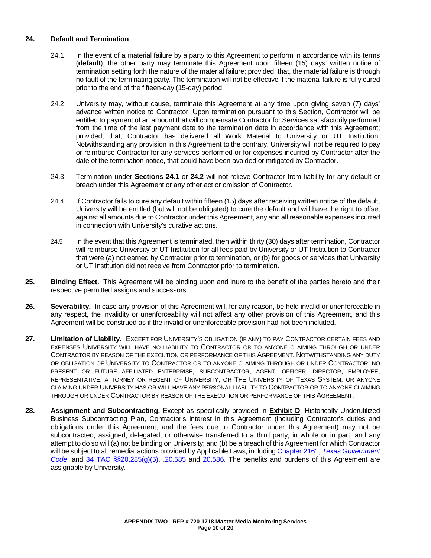### **24. Default and Termination**

- 24.1 In the event of a material failure by a party to this Agreement to perform in accordance with its terms (**default**), the other party may terminate this Agreement upon fifteen (15) days' written notice of termination setting forth the nature of the material failure; provided, that, the material failure is through no fault of the terminating party. The termination will not be effective if the material failure is fully cured prior to the end of the fifteen-day (15-day) period.
- 24.2 University may, without cause, terminate this Agreement at any time upon giving seven (7) days' advance written notice to Contractor. Upon termination pursuant to this Section, Contractor will be entitled to payment of an amount that will compensate Contractor for Services satisfactorily performed from the time of the last payment date to the termination date in accordance with this Agreement; provided, that, Contractor has delivered all Work Material to University or UT Institution. Notwithstanding any provision in this Agreement to the contrary, University will not be required to pay or reimburse Contractor for any services performed or for expenses incurred by Contractor after the date of the termination notice, that could have been avoided or mitigated by Contractor.
- 24.3 Termination under **Sections 24.1** or **24.2** will not relieve Contractor from liability for any default or breach under this Agreement or any other act or omission of Contractor.
- 24.4 If Contractor fails to cure any default within fifteen (15) days after receiving written notice of the default, University will be entitled (but will not be obligated) to cure the default and will have the right to offset against all amounts due to Contractor under this Agreement, any and all reasonable expenses incurred in connection with University's curative actions.
- 24.5 In the event that this Agreement is terminated, then within thirty (30) days after termination, Contractor will reimburse University or UT Institution for all fees paid by University or UT Institution to Contractor that were (a) not earned by Contractor prior to termination, or (b) for goods or services that University or UT Institution did not receive from Contractor prior to termination.
- **25. Binding Effect.** This Agreement will be binding upon and inure to the benefit of the parties hereto and their respective permitted assigns and successors.
- **26. Severability.** In case any provision of this Agreement will, for any reason, be held invalid or unenforceable in any respect, the invalidity or unenforceability will not affect any other provision of this Agreement, and this Agreement will be construed as if the invalid or unenforceable provision had not been included.
- **27. Limitation of Liability.** EXCEPT FOR UNIVERSITY'S OBLIGATION (IF ANY) TO PAY CONTRACTOR CERTAIN FEES AND EXPENSES UNIVERSITY WILL HAVE NO LIABILITY TO CONTRACTOR OR TO ANYONE CLAIMING THROUGH OR UNDER CONTRACTOR BY REASON OF THE EXECUTION OR PERFORMANCE OF THIS AGREEMENT. NOTWITHSTANDING ANY DUTY OR OBLIGATION OF UNIVERSITY TO CONTRACTOR OR TO ANYONE CLAIMING THROUGH OR UNDER CONTRACTOR, NO PRESENT OR FUTURE AFFILIATED ENTERPRISE, SUBCONTRACTOR, AGENT, OFFICER, DIRECTOR, EMPLOYEE, REPRESENTATIVE, ATTORNEY OR REGENT OF UNIVERSITY, OR THE UNIVERSITY OF TEXAS SYSTEM, OR ANYONE CLAIMING UNDER UNIVERSITY HAS OR WILL HAVE ANY PERSONAL LIABILITY TO CONTRACTOR OR TO ANYONE CLAIMING THROUGH OR UNDER CONTRACTOR BY REASON OF THE EXECUTION OR PERFORMANCE OF THIS AGREEMENT.
- **28. Assignment and Subcontracting.** Except as specifically provided in **Exhibit D**, Historically Underutilized Business Subcontracting Plan, Contractor's interest in this Agreement (including Contractor's duties and obligations under this Agreement, and the fees due to Contractor under this Agreement) may not be subcontracted, assigned, delegated, or otherwise transferred to a third party, in whole or in part, and any attempt to do so will (a) not be binding on University; and (b) be a breach of this Agreement for which Contractor will be subject to all remedial actions provided by Applicable Laws, including Chapter 2161, *[Texas Government](http://www.statutes.legis.state.tx.us/Docs/GV/htm/GV.2161.htm)  [Code](http://www.statutes.legis.state.tx.us/Docs/GV/htm/GV.2161.htm)*, and [34 TAC §§20.285\(g\)\(5\),](http://texreg.sos.state.tx.us/public/readtac$ext.TacPage?sl=R&app=9&p_dir=&p_rloc=&p_tloc=&p_ploc=&pg=1&p_tac=&ti=34&pt=1&ch=20&rl=285) [.20.585](http://texreg.sos.state.tx.us/public/readtac$ext.TacPage?sl=R&app=9&p_dir=&p_rloc=&p_tloc=&p_ploc=&pg=1&p_tac=&ti=34&pt=1&ch=20&rl=585) and [20.586.](http://texreg.sos.state.tx.us/public/readtac$ext.TacPage?sl=R&app=9&p_dir=&p_rloc=&p_tloc=&p_ploc=&pg=1&p_tac=&ti=34&pt=1&ch=20&rl=586) The benefits and burdens of this Agreement are assignable by University.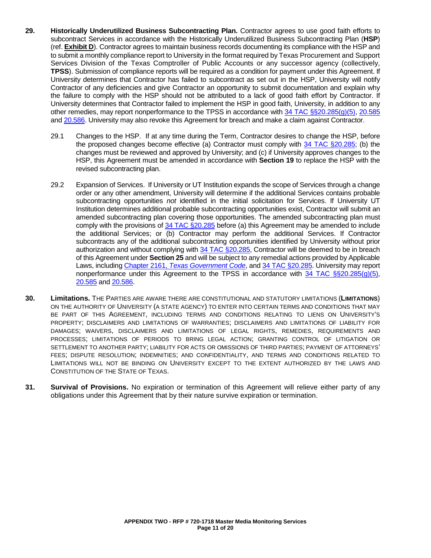- **29. Historically Underutilized Business Subcontracting Plan.** Contractor agrees to use good faith efforts to subcontract Services in accordance with the Historically Underutilized Business Subcontracting Plan (**HSP**) (ref. **Exhibit D**). Contractor agrees to maintain business records documenting its compliance with the HSP and to submit a monthly compliance report to University in the format required by Texas Procurement and Support Services Division of the Texas Comptroller of Public Accounts or any successor agency (collectively, **TPSS**). Submission of compliance reports will be required as a condition for payment under this Agreement. If University determines that Contractor has failed to subcontract as set out in the HSP, University will notify Contractor of any deficiencies and give Contractor an opportunity to submit documentation and explain why the failure to comply with the HSP should not be attributed to a lack of good faith effort by Contractor. If University determines that Contractor failed to implement the HSP in good faith, University, in addition to any other remedies, may report nonperformance to the TPSS in accordance with [34 TAC §§20.285\(g\)\(5\),](http://texreg.sos.state.tx.us/public/readtac$ext.TacPage?sl=R&app=9&p_dir=&p_rloc=&p_tloc=&p_ploc=&pg=1&p_tac=&ti=34&pt=1&ch=20&rl=285) [20.585](http://texreg.sos.state.tx.us/public/readtac$ext.TacPage?sl=R&app=9&p_dir=&p_rloc=&p_tloc=&p_ploc=&pg=1&p_tac=&ti=34&pt=1&ch=20&rl=585) and [20.586.](http://texreg.sos.state.tx.us/public/readtac$ext.TacPage?sl=R&app=9&p_dir=&p_rloc=&p_tloc=&p_ploc=&pg=1&p_tac=&ti=34&pt=1&ch=20&rl=586) University may also revoke this Agreement for breach and make a claim against Contractor.
	- 29.1 Changes to the HSP. If at any time during the Term, Contractor desires to change the HSP, before the proposed changes become effective (a) Contractor must comply with [34 TAC §20.285;](http://texreg.sos.state.tx.us/public/readtac$ext.TacPage?sl=R&app=9&p_dir=&p_rloc=&p_tloc=&p_ploc=&pg=1&p_tac=&ti=34&pt=1&ch=20&rl=285) (b) the changes must be reviewed and approved by University; and (c) if University approves changes to the HSP, this Agreement must be amended in accordance with **Section 19** to replace the HSP with the revised subcontracting plan.
	- 29.2 Expansion of Services. If University or UT Institution expands the scope of Services through a change order or any other amendment, University will determine if the additional Services contains probable subcontracting opportunities *not* identified in the initial solicitation for Services. If University UT Institution determines additional probable subcontracting opportunities exist, Contractor will submit an amended subcontracting plan covering those opportunities. The amended subcontracting plan must comply with the provisions of 34 [TAC §20.285](http://texreg.sos.state.tx.us/public/readtac$ext.TacPage?sl=R&app=9&p_dir=&p_rloc=&p_tloc=&p_ploc=&pg=1&p_tac=&ti=34&pt=1&ch=20&rl=285) before (a) this Agreement may be amended to include the additional Services; or (b) Contractor may perform the additional Services. If Contractor subcontracts any of the additional subcontracting opportunities identified by University without prior authorization and without complying with [34 TAC §20.285,](http://texreg.sos.state.tx.us/public/readtac$ext.TacPage?sl=R&app=9&p_dir=&p_rloc=&p_tloc=&p_ploc=&pg=1&p_tac=&ti=34&pt=1&ch=20&rl=285) Contractor will be deemed to be in breach of this Agreement under **Section 25** and will be subject to any remedial actions provided by Applicable Laws, including Chapter 2161, *[Texas Government Code](http://www.statutes.legis.state.tx.us/Docs/GV/htm/GV.2161.htm)*, and [34 TAC §20.2](http://texreg.sos.state.tx.us/public/readtac$ext.TacPage?sl=R&app=9&p_dir=&p_rloc=&p_tloc=&p_ploc=&pg=1&p_tac=&ti=34&pt=1&ch=20&rl=14)85. University may report nonperformance under this Agreement to the TPSS in accordance with  $34$  TAC §§20.285(g)(5), [20.585](http://texreg.sos.state.tx.us/public/readtac$ext.TacPage?sl=R&app=9&p_dir=&p_rloc=&p_tloc=&p_ploc=&pg=1&p_tac=&ti=34&pt=1&ch=20&rl=585) and [20.586.](http://texreg.sos.state.tx.us/public/readtac$ext.TacPage?sl=R&app=9&p_dir=&p_rloc=&p_tloc=&p_ploc=&pg=1&p_tac=&ti=34&pt=1&ch=20&rl=586)
- **30. Limitations.** THE PARTIES ARE AWARE THERE ARE CONSTITUTIONAL AND STATUTORY LIMITATIONS (**LIMITATIONS**) ON THE AUTHORITY OF UNIVERSITY (A STATE AGENCY) TO ENTER INTO CERTAIN TERMS AND CONDITIONS THAT MAY BE PART OF THIS AGREEMENT, INCLUDING TERMS AND CONDITIONS RELATING TO LIENS ON UNIVERSITY'S PROPERTY; DISCLAIMERS AND LIMITATIONS OF WARRANTIES; DISCLAIMERS AND LIMITATIONS OF LIABILITY FOR DAMAGES; WAIVERS, DISCLAIMERS AND LIMITATIONS OF LEGAL RIGHTS, REMEDIES, REQUIREMENTS AND PROCESSES; LIMITATIONS OF PERIODS TO BRING LEGAL ACTION; GRANTING CONTROL OF LITIGATION OR SETTLEMENT TO ANOTHER PARTY; LIABILITY FOR ACTS OR OMISSIONS OF THIRD PARTIES; PAYMENT OF ATTORNEYS' FEES; DISPUTE RESOLUTION; INDEMNITIES; AND CONFIDENTIALITY, AND TERMS AND CONDITIONS RELATED TO LIMITATIONS WILL NOT BE BINDING ON UNIVERSITY EXCEPT TO THE EXTENT AUTHORIZED BY THE LAWS AND CONSTITUTION OF THE STATE OF TEXAS.
- **31. Survival of Provisions.** No expiration or termination of this Agreement will relieve either party of any obligations under this Agreement that by their nature survive expiration or termination.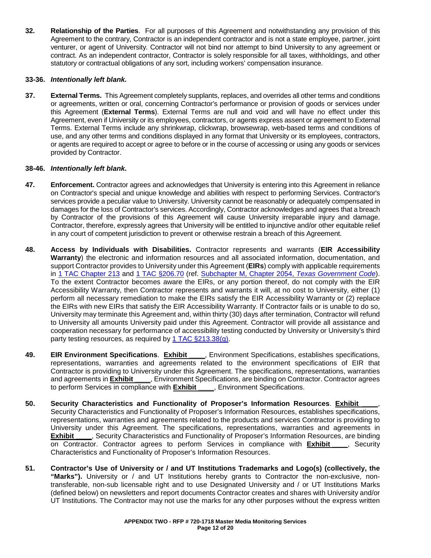**32. Relationship of the Parties**. For all purposes of this Agreement and notwithstanding any provision of this Agreement to the contrary, Contractor is an independent contractor and is not a state employee, partner, joint venturer, or agent of University. Contractor will not bind nor attempt to bind University to any agreement or contract. As an independent contractor, Contractor is solely responsible for all taxes, withholdings, and other statutory or contractual obligations of any sort, including workers' compensation insurance.

### **33-36.** *Intentionally left blank.*

**37. External Terms.** This Agreement completely supplants, replaces, and overrides all other terms and conditions or agreements, written or oral, concerning Contractor's performance or provision of goods or services under this Agreement (**External Terms**). External Terms are null and void and will have no effect under this Agreement, even if University or its employees, contractors, or agents express assent or agreement to External Terms. External Terms include any shrinkwrap, clickwrap, browsewrap, web-based terms and conditions of use, and any other terms and conditions displayed in any format that University or its employees, contractors, or agents are required to accept or agree to before or in the course of accessing or using any goods or services provided by Contractor.

### **38-46.** *Intentionally left blank.*

- **47. Enforcement.** Contractor agrees and acknowledges that University is entering into this Agreement in reliance on Contractor's special and unique knowledge and abilities with respect to performing Services. Contractor's services provide a peculiar value to University. University cannot be reasonably or adequately compensated in damages for the loss of Contractor's services. Accordingly, Contractor acknowledges and agrees that a breach by Contractor of the provisions of this Agreement will cause University irreparable injury and damage. Contractor, therefore, expressly agrees that University will be entitled to injunctive and/or other equitable relief in any court of competent jurisdiction to prevent or otherwise restrain a breach of this Agreement.
- **48. Access by Individuals with Disabilities.** Contractor represents and warrants (**EIR Accessibility Warranty**) the electronic and information resources and all associated information, documentation, and support Contractor provides to University under this Agreement (**EIRs**) comply with applicable requirements in [1 TAC Chapter 213](http://texreg.sos.state.tx.us/public/readtac$ext.ViewTAC?tac_view=4&ti=1&pt=10&ch=213) and [1 TAC §206.70](http://texreg.sos.state.tx.us/public/readtac$ext.TacPage?sl=R&app=9&p_dir=&p_rloc=&p_tloc=&p_ploc=&pg=1&p_tac=&ti=1&pt=10&ch=206&rl=70) (ref. [Subchapter M, Chapter 2054,](http://www.statutes.legis.state.tx.us/Docs/GV/htm/GV.2054.htm#M) *Texas Government Code*). To the extent Contractor becomes aware the EIRs, or any portion thereof, do not comply with the EIR Accessibility Warranty, then Contractor represents and warrants it will, at no cost to University, either (1) perform all necessary remediation to make the EIRs satisfy the EIR Accessibility Warranty or (2) replace the EIRs with new EIRs that satisfy the EIR Accessibility Warranty. If Contractor fails or is unable to do so, University may terminate this Agreement and, within thirty (30) days after termination, Contractor will refund to University all amounts University paid under this Agreement. Contractor will provide all assistance and cooperation necessary for performance of accessibility testing conducted by University or University's third party testing resources, as required by [1 TAC §213.38\(g\).](http://texreg.sos.state.tx.us/public/readtac$ext.TacPage?sl=R&app=9&p_dir=&p_rloc=&p_tloc=&p_ploc=&pg=1&p_tac=&ti=1&pt=10&ch=213&rl=38)
- **49. EIR Environment Specifications**. **Exhibit \_\_\_\_**, Environment Specifications, establishes specifications, representations, warranties and agreements related to the environment specifications of EIR that Contractor is providing to University under this Agreement. The specifications, representations, warranties and agreements in **Exhibit \_\_\_\_**, Environment Specifications, are binding on Contractor. Contractor agrees to perform Services in compliance with **Exhibit \_\_\_\_**, Environment Specifications.
- **50. Security Characteristics and Functionality of Proposer's Information Resources**. **Exhibit \_\_\_\_**, Security Characteristics and Functionality of Proposer's Information Resources, establishes specifications, representations, warranties and agreements related to the products and services Contractor is providing to University under this Agreement. The specifications, representations, warranties and agreements in **Exhibit** \_\_\_\_, Security Characteristics and Functionality of Proposer's Information Resources, are binding **Exhibit \_\_\_\_**, Security Characteristics and Functionality of Proposer's Information Resources, are binding on Contractor. Contractor agrees to perform Services in compliance with **Exhibit** , Security Characteristics and Functionality of Proposer's Information Resources.
- **51. Contractor's Use of University or / and UT Institutions Trademarks and Logo(s) (collectively, the "Marks").** University or / and UT Institutions hereby grants to Contractor the non-exclusive, nontransferable, non-sub licensable right and to use Designated University and / or UT Institutions Marks (defined below) on newsletters and report documents Contractor creates and shares with University and/or UT Institutions. The Contractor may not use the marks for any other purposes without the express written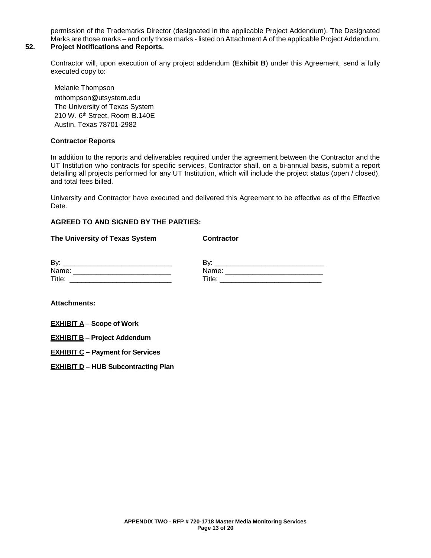permission of the Trademarks Director (designated in the applicable Project Addendum). The Designated Marks are those marks – and only those marks - listed on Attachment A of the applicable Project Addendum.

# **52. Project Notifications and Reports.**

Contractor will, upon execution of any project addendum (**Exhibit B**) under this Agreement, send a fully executed copy to:

Melanie Thompson mthompson@utsystem.edu The University of Texas System 210 W. 6<sup>th</sup> Street, Room B.140E Austin, Texas 78701-2982

### **Contractor Reports**

In addition to the reports and deliverables required under the agreement between the Contractor and the UT Institution who contracts for specific services, Contractor shall, on a bi-annual basis, submit a report detailing all projects performed for any UT Institution, which will include the project status (open / closed), and total fees billed.

University and Contractor have executed and delivered this Agreement to be effective as of the Effective Date.

### **AGREED TO AND SIGNED BY THE PARTIES:**

|  |  | The University of Texas System |  |  |  |  |
|--|--|--------------------------------|--|--|--|--|
|--|--|--------------------------------|--|--|--|--|

**Contractor** 

| By:    | Bv:               |
|--------|-------------------|
| Name:  | Name <sup>-</sup> |
| Title: | Title.            |

**Attachments:**

- **EXHIBIT A Scope of Work**
- **EXHIBIT B Project Addendum**
- **EXHIBIT C – Payment for Services**
- **EXHIBIT D – HUB Subcontracting Plan**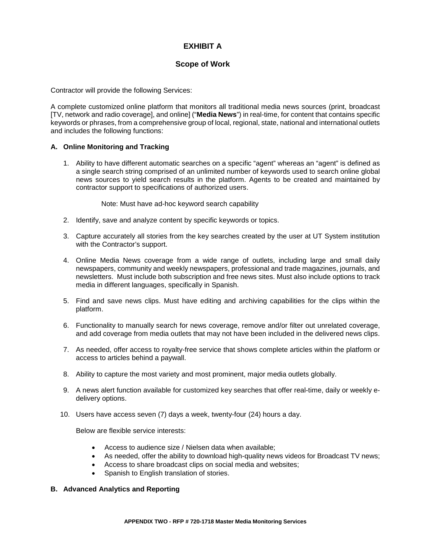# **EXHIBIT A**

# **Scope of Work**

Contractor will provide the following Services:

A complete customized online platform that monitors all traditional media news sources (print, broadcast [TV, network and radio coverage], and online] ("**Media News**") in real-time, for content that contains specific keywords or phrases, from a comprehensive group of local, regional, state, national and international outlets and includes the following functions:

### **A. Online Monitoring and Tracking**

1. Ability to have different automatic searches on a specific "agent" whereas an "agent" is defined as a single search string comprised of an unlimited number of keywords used to search online global news sources to yield search results in the platform. Agents to be created and maintained by contractor support to specifications of authorized users.

Note: Must have ad-hoc keyword search capability

- 2. Identify, save and analyze content by specific keywords or topics.
- 3. Capture accurately all stories from the key searches created by the user at UT System institution with the Contractor's support.
- 4. Online Media News coverage from a wide range of outlets, including large and small daily newspapers, community and weekly newspapers, professional and trade magazines, journals, and newsletters. Must include both subscription and free news sites. Must also include options to track media in different languages, specifically in Spanish.
- 5. Find and save news clips. Must have editing and archiving capabilities for the clips within the platform.
- 6. Functionality to manually search for news coverage, remove and/or filter out unrelated coverage, and add coverage from media outlets that may not have been included in the delivered news clips.
- 7. As needed, offer access to royalty-free service that shows complete articles within the platform or access to articles behind a paywall.
- 8. Ability to capture the most variety and most prominent, major media outlets globally.
- 9. A news alert function available for customized key searches that offer real-time, daily or weekly edelivery options.
- 10. Users have access seven (7) days a week, twenty-four (24) hours a day.

Below are flexible service interests:

- Access to audience size / Nielsen data when available;
- As needed, offer the ability to download high-quality news videos for Broadcast TV news;
- Access to share broadcast clips on social media and websites;
- Spanish to English translation of stories.

### **B. Advanced Analytics and Reporting**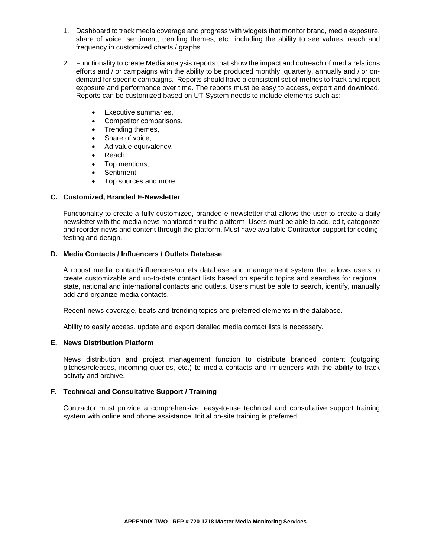- 1. Dashboard to track media coverage and progress with widgets that monitor brand, media exposure, share of voice, sentiment, trending themes, etc., including the ability to see values, reach and frequency in customized charts / graphs.
- 2. Functionality to create Media analysis reports that show the impact and outreach of media relations efforts and / or campaigns with the ability to be produced monthly, quarterly, annually and / or ondemand for specific campaigns. Reports should have a consistent set of metrics to track and report exposure and performance over time. The reports must be easy to access, export and download. Reports can be customized based on UT System needs to include elements such as:
	- Executive summaries,
	- Competitor comparisons,
	- Trending themes,
	- Share of voice,
	- Ad value equivalency,
	- Reach,
	- Top mentions,
	- Sentiment.
	- Top sources and more.

### **C. Customized, Branded E-Newsletter**

Functionality to create a fully customized, branded e-newsletter that allows the user to create a daily newsletter with the media news monitored thru the platform. Users must be able to add, edit, categorize and reorder news and content through the platform. Must have available Contractor support for coding, testing and design.

### **D. Media Contacts / Influencers / Outlets Database**

A robust media contact/influencers/outlets database and management system that allows users to create customizable and up-to-date contact lists based on specific topics and searches for regional, state, national and international contacts and outlets. Users must be able to search, identify, manually add and organize media contacts.

Recent news coverage, beats and trending topics are preferred elements in the database.

Ability to easily access, update and export detailed media contact lists is necessary.

### **E. News Distribution Platform**

News distribution and project management function to distribute branded content (outgoing pitches/releases, incoming queries, etc.) to media contacts and influencers with the ability to track activity and archive.

### **F. Technical and Consultative Support / Training**

Contractor must provide a comprehensive, easy-to-use technical and consultative support training system with online and phone assistance. Initial on-site training is preferred.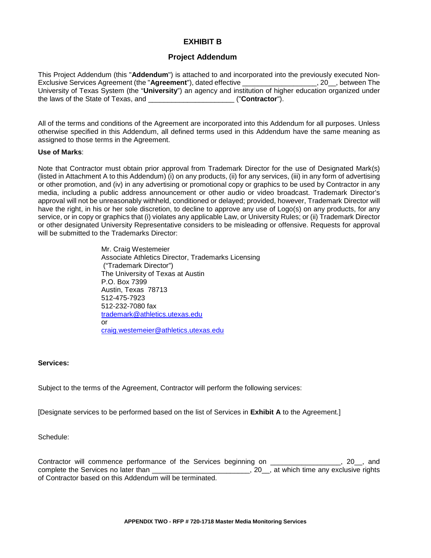## **EXHIBIT B**

### **Project Addendum**

This Project Addendum (this "**Addendum**") is attached to and incorporated into the previously executed Non-Exclusive Services Agreement (the "Agreement"), dated effective University of Texas System (the "**University**") an agency and institution of higher education organized under the laws of the State of Texas, and \_\_\_\_\_\_\_\_\_\_\_\_\_\_\_\_\_\_\_\_\_\_ ("**Contractor**").

All of the terms and conditions of the Agreement are incorporated into this Addendum for all purposes. Unless otherwise specified in this Addendum, all defined terms used in this Addendum have the same meaning as assigned to those terms in the Agreement.

### **Use of Marks**:

Note that Contractor must obtain prior approval from Trademark Director for the use of Designated Mark(s) (listed in Attachment A to this Addendum) (i) on any products, (ii) for any services, (iii) in any form of advertising or other promotion, and (iv) in any advertising or promotional copy or graphics to be used by Contractor in any media, including a public address announcement or other audio or video broadcast. Trademark Director's approval will not be unreasonably withheld, conditioned or delayed; provided, however, Trademark Director will have the right, in his or her sole discretion, to decline to approve any use of Logo(s) on any products, for any service, or in copy or graphics that (i) violates any applicable Law, or University Rules; or (ii) Trademark Director or other designated University Representative considers to be misleading or offensive. Requests for approval will be submitted to the Trademarks Director:

> Mr. Craig Westemeier Associate Athletics Director, Trademarks Licensing ("Trademark Director") The University of Texas at Austin P.O. Box 7399 Austin, Texas 78713 512-475-7923 512-232-7080 fax [trademark@athletics.utexas.edu](mailto:trademark@athletics.utexas.edu) or [craig.westemeier@athletics.utexas.edu](mailto:craig.westemeier@athletics.utexas.edu)

### **Services:**

Subject to the terms of the Agreement, Contractor will perform the following services:

[Designate services to be performed based on the list of Services in **Exhibit A** to the Agreement.]

Schedule:

Contractor will commence performance of the Services beginning on **Fall** 20 \_\_, 20 \_\_, and complete the Services no later than **than**  $\overline{a}$ , 20, at which time any exclusive rights of Contractor based on this Addendum will be terminated.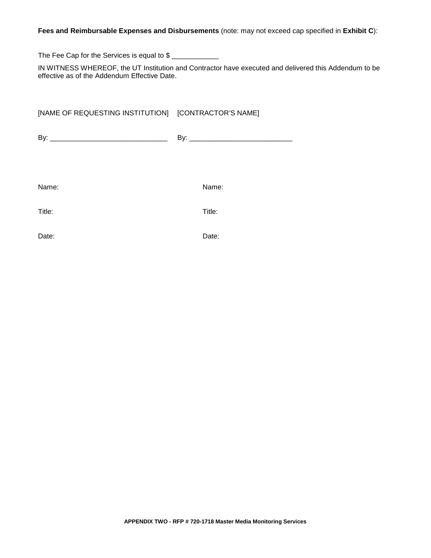### **Fees and Reimbursable Expenses and Disbursements** (note: may not exceed cap specified in **Exhibit C**):

The Fee Cap for the Services is equal to \$

IN WITNESS WHEREOF, the UT Institution and Contractor have executed and delivered this Addendum to be effective as of the Addendum Effective Date.

# [NAME OF REQUESTING INSTITUTION] [CONTRACTOR'S NAME]

| n.<br>ь | n. |
|---------|----|
|         |    |

Name: Name:

Title: Title:

Date: **Date: Date: Date: Date: Date: Date: Date: Date: Date: Date: Date: Date: Date: Date: Date: Date: Date: Date: Date: Date: Date: Date: Date: Date: Date: Date: Date:**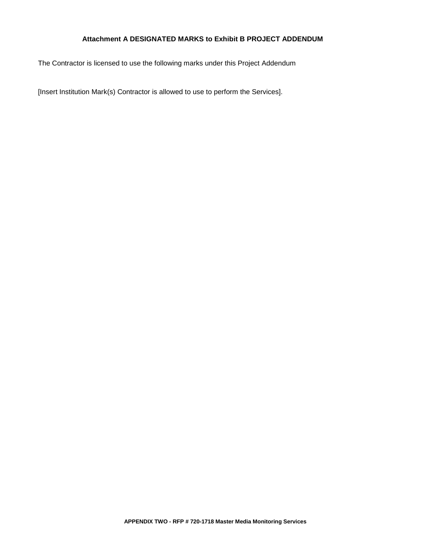# **Attachment A DESIGNATED MARKS to Exhibit B PROJECT ADDENDUM**

The Contractor is licensed to use the following marks under this Project Addendum

[Insert Institution Mark(s) Contractor is allowed to use to perform the Services].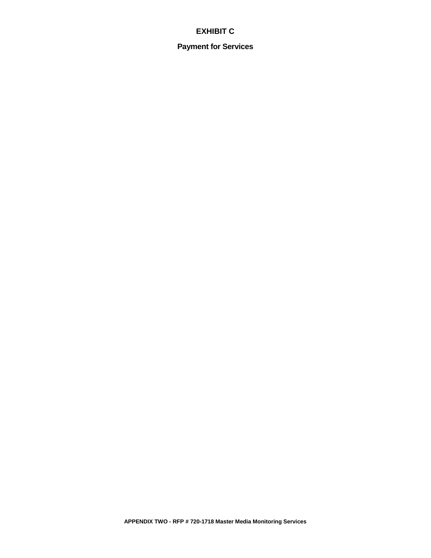# **EXHIBIT C**

**Payment for Services**

**APPENDIX TWO - RFP # 720-1718 Master Media Monitoring Services**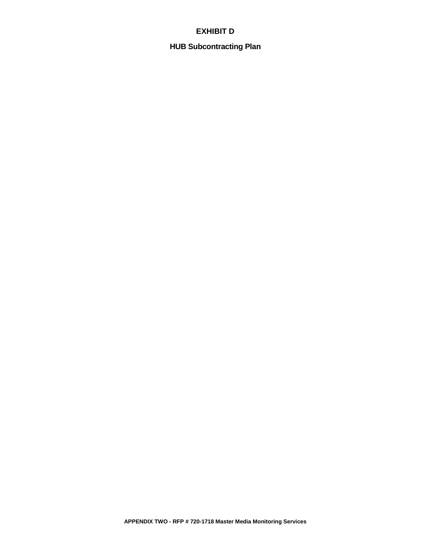# **EXHIBIT D**

# **HUB Subcontracting Plan**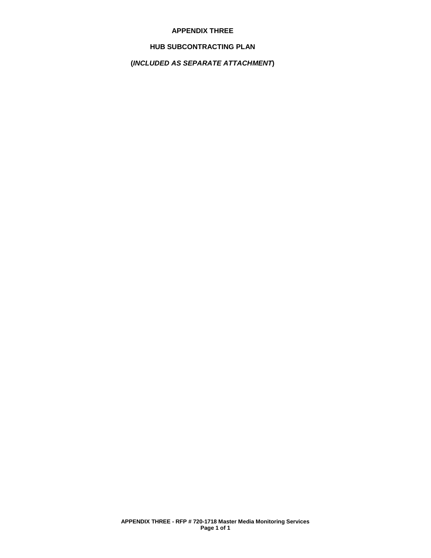### **APPENDIX THREE**

### **HUB SUBCONTRACTING PLAN**

# **(***INCLUDED AS SEPARATE ATTACHMENT***)**

**APPENDIX THREE - RFP # 720-1718 Master Media Monitoring Services Page 1 of 1**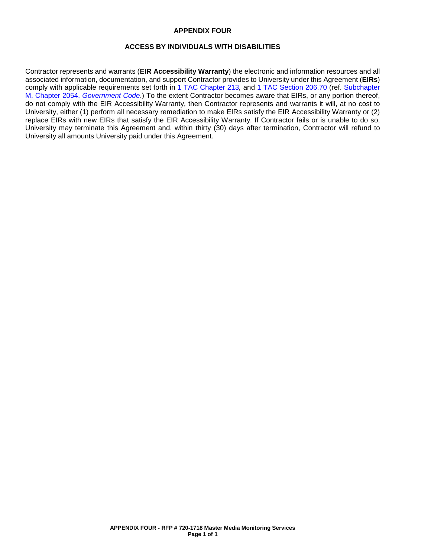### **APPENDIX FOUR**

### **ACCESS BY INDIVIDUALS WITH DISABILITIES**

Contractor represents and warrants (**EIR Accessibility Warranty**) the electronic and information resources and all associated information, documentation, and support Contractor provides to University under this Agreement (**EIRs**) comply with applicable requirements set forth in 1 TAC [Chapter 213](http://texreg.sos.state.tx.us/public/readtac$ext.ViewTAC?tac_view=4&ti=1&pt=10&ch=213)*,* and 1 TAC [Section](http://texreg.sos.state.tx.us/public/readtac$ext.TacPage?sl=R&app=9&p_dir=&p_rloc=&p_tloc=&p_ploc=&pg=1&p_tac=&ti=1&pt=10&ch=206&rl=70) 206.70 (ref. [Subchapter](http://www.statutes.legis.state.tx.us/Docs/GV/htm/GV.2054.htm#M)  M, Chapter 2054, *[Government Code](http://www.statutes.legis.state.tx.us/Docs/GV/htm/GV.2054.htm#M)*.) To the extent Contractor becomes aware that EIRs, or any portion thereof, do not comply with the EIR Accessibility Warranty, then Contractor represents and warrants it will, at no cost to University, either (1) perform all necessary remediation to make EIRs satisfy the EIR Accessibility Warranty or (2) replace EIRs with new EIRs that satisfy the EIR Accessibility Warranty. If Contractor fails or is unable to do so, University may terminate this Agreement and, within thirty (30) days after termination, Contractor will refund to University all amounts University paid under this Agreement.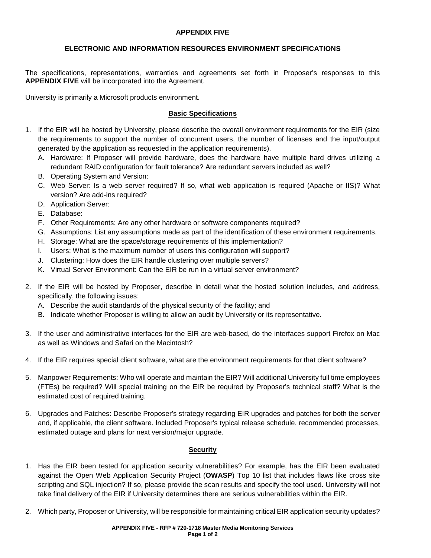### **APPENDIX FIVE**

### **ELECTRONIC AND INFORMATION RESOURCES ENVIRONMENT SPECIFICATIONS**

The specifications, representations, warranties and agreements set forth in Proposer's responses to this **APPENDIX FIVE** will be incorporated into the Agreement.

University is primarily a Microsoft products environment.

### **Basic Specifications**

- 1. If the EIR will be hosted by University, please describe the overall environment requirements for the EIR (size the requirements to support the number of concurrent users, the number of licenses and the input/output generated by the application as requested in the application requirements).
	- A. Hardware: If Proposer will provide hardware, does the hardware have multiple hard drives utilizing a redundant RAID configuration for fault tolerance? Are redundant servers included as well?
	- B. Operating System and Version:
	- C. Web Server: Is a web server required? If so, what web application is required (Apache or IIS)? What version? Are add-ins required?
	- D. Application Server:
	- E. Database:
	- F. Other Requirements: Are any other hardware or software components required?
	- G. Assumptions: List any assumptions made as part of the identification of these environment requirements.
	- H. Storage: What are the space/storage requirements of this implementation?
	- I. Users: What is the maximum number of users this configuration will support?
	- J. Clustering: How does the EIR handle clustering over multiple servers?
	- K. Virtual Server Environment: Can the EIR be run in a virtual server environment?
- 2. If the EIR will be hosted by Proposer, describe in detail what the hosted solution includes, and address, specifically, the following issues:
	- A. Describe the audit standards of the physical security of the facility; and
	- B. Indicate whether Proposer is willing to allow an audit by University or its representative.
- 3. If the user and administrative interfaces for the EIR are web-based, do the interfaces support Firefox on Mac as well as Windows and Safari on the Macintosh?
- 4. If the EIR requires special client software, what are the environment requirements for that client software?
- 5. Manpower Requirements: Who will operate and maintain the EIR? Will additional University full time employees (FTEs) be required? Will special training on the EIR be required by Proposer's technical staff? What is the estimated cost of required training.
- 6. Upgrades and Patches: Describe Proposer's strategy regarding EIR upgrades and patches for both the server and, if applicable, the client software. Included Proposer's typical release schedule, recommended processes, estimated outage and plans for next version/major upgrade.

### **Security**

- 1. Has the EIR been tested for application security vulnerabilities? For example, has the EIR been evaluated against the Open Web Application Security Project (**OWASP**) Top 10 list that includes flaws like cross site scripting and SQL injection? If so, please provide the scan results and specify the tool used. University will not take final delivery of the EIR if University determines there are serious vulnerabilities within the EIR.
- 2. Which party, Proposer or University, will be responsible for maintaining critical EIR application security updates?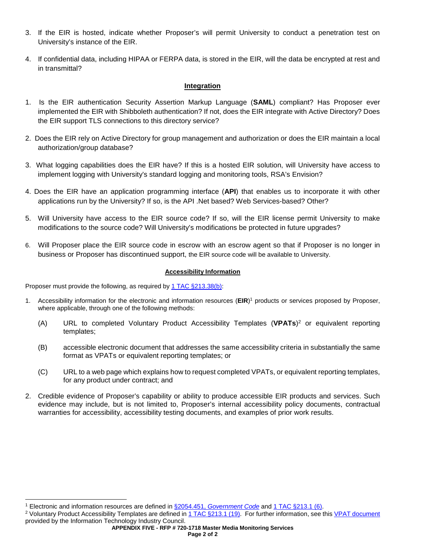- 3. If the EIR is hosted, indicate whether Proposer's will permit University to conduct a penetration test on University's instance of the EIR.
- 4. If confidential data, including HIPAA or FERPA data, is stored in the EIR, will the data be encrypted at rest and in transmittal?

### **Integration**

- 1. Is the EIR authentication Security Assertion Markup Language (**SAML**) compliant? Has Proposer ever implemented the EIR with Shibboleth authentication? If not, does the EIR integrate with Active Directory? Does the EIR support TLS connections to this directory service?
- 2. Does the EIR rely on Active Directory for group management and authorization or does the EIR maintain a local authorization/group database?
- 3. What logging capabilities does the EIR have? If this is a hosted EIR solution, will University have access to implement logging with University's standard logging and monitoring tools, RSA's Envision?
- 4. Does the EIR have an application programming interface (**API**) that enables us to incorporate it with other applications run by the University? If so, is the API .Net based? Web Services-based? Other?
- 5. Will University have access to the EIR source code? If so, will the EIR license permit University to make modifications to the source code? Will University's modifications be protected in future upgrades?
- 6. Will Proposer place the EIR source code in escrow with an escrow agent so that if Proposer is no longer in business or Proposer has discontinued support, the EIR source code will be available to University.

### **Accessibility Information**

Proposer must provide the following, as required by 1 TAC [§213.38\(b\):](http://texreg.sos.state.tx.us/public/readtac$ext.TacPage?sl=R&app=9&p_dir=&p_rloc=&p_tloc=&p_ploc=&pg=1&p_tac=&ti=1&pt=10&ch=213&rl=38)

- 1. Accessibility information for the electronic and information resources (**EIR**) <sup>1</sup> products or services proposed by Proposer, where applicable, through one of the following methods:
	- (A) URL to completed Voluntary Product Accessibility Templates (**VPATs**)2 or equivalent reporting templates;
	- (B) accessible electronic document that addresses the same accessibility criteria in substantially the same format as VPATs or equivalent reporting templates; or
	- (C) URL to a web page which explains how to request completed VPATs, or equivalent reporting templates, for any product under contract; and
- 2. Credible evidence of Proposer's capability or ability to produce accessible EIR products and services. Such evidence may include, but is not limited to, Proposer's internal accessibility policy documents, contractual warranties for accessibility, accessibility testing documents, and examples of prior work results.

 <sup>1</sup> Electronic and information resources are defined in §2054.451, *[Government Code](http://www.statutes.legis.state.tx.us/Docs/GV/htm/GV.2054.htm#2054.451)* an[d 1 TAC §213.1 \(6\).](http://texreg.sos.state.tx.us/public/readtac$ext.TacPage?sl=R&app=9&p_dir=&p_rloc=&p_tloc=&p_ploc=&pg=1&p_tac=&ti=1&pt=10&ch=213&rl=1)

<sup>2</sup> Voluntary Product Accessibility Templates are defined i[n 1 TAC §213.1 \(19\).](http://texreg.sos.state.tx.us/public/readtac$ext.TacPage?sl=R&app=9&p_dir=&p_rloc=&p_tloc=&p_ploc=&pg=1&p_tac=&ti=1&pt=10&ch=213&rl=1) For further information, see thi[s VPAT document](http://www.itic.org:8080/dotAsset/5644ecd2-5024-417f-bc23-a52650f47ef8.doc) provided by the Information Technology Industry Council.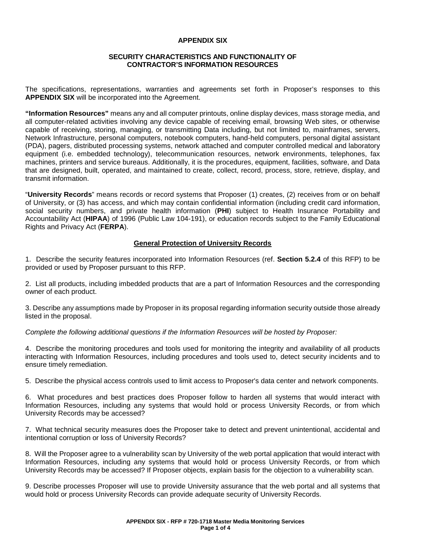### **APPENDIX SIX**

### **SECURITY CHARACTERISTICS AND FUNCTIONALITY OF CONTRACTOR'S INFORMATION RESOURCES**

The specifications, representations, warranties and agreements set forth in Proposer's responses to this **APPENDIX SIX** will be incorporated into the Agreement.

**"Information Resources"** means any and all computer printouts, online display devices, mass storage media, and all computer-related activities involving any device capable of receiving email, browsing Web sites, or otherwise capable of receiving, storing, managing, or transmitting Data including, but not limited to, mainframes, servers, Network Infrastructure, personal computers, notebook computers, hand-held computers, personal digital assistant (PDA), pagers, distributed processing systems, network attached and computer controlled medical and laboratory equipment (i.e. embedded technology), telecommunication resources, network environments, telephones, fax machines, printers and service bureaus. Additionally, it is the procedures, equipment, facilities, software, and Data that are designed, built, operated, and maintained to create, collect, record, process, store, retrieve, display, and transmit information.

"**University Records**" means records or record systems that Proposer (1) creates, (2) receives from or on behalf of University, or (3) has access, and which may contain confidential information (including credit card information, social security numbers, and private health information (**PHI**) subject to Health Insurance Portability and Accountability Act (**HIPAA**) of 1996 (Public Law 104-191), or education records subject to the Family Educational Rights and Privacy Act (**FERPA**).

### **General Protection of University Records**

1. Describe the security features incorporated into Information Resources (ref. **Section 5.2.4** of this RFP) to be provided or used by Proposer pursuant to this RFP.

2. List all products, including imbedded products that are a part of Information Resources and the corresponding owner of each product.

3. Describe any assumptions made by Proposer in its proposal regarding information security outside those already listed in the proposal.

*Complete the following additional questions if the Information Resources will be hosted by Proposer:*

4. Describe the monitoring procedures and tools used for monitoring the integrity and availability of all products interacting with Information Resources, including procedures and tools used to, detect security incidents and to ensure timely remediation.

5. Describe the physical access controls used to limit access to Proposer's data center and network components.

6. What procedures and best practices does Proposer follow to harden all systems that would interact with Information Resources, including any systems that would hold or process University Records, or from which University Records may be accessed?

7. What technical security measures does the Proposer take to detect and prevent unintentional, accidental and intentional corruption or loss of University Records?

8. Will the Proposer agree to a vulnerability scan by University of the web portal application that would interact with Information Resources, including any systems that would hold or process University Records, or from which University Records may be accessed? If Proposer objects, explain basis for the objection to a vulnerability scan.

9. Describe processes Proposer will use to provide University assurance that the web portal and all systems that would hold or process University Records can provide adequate security of University Records.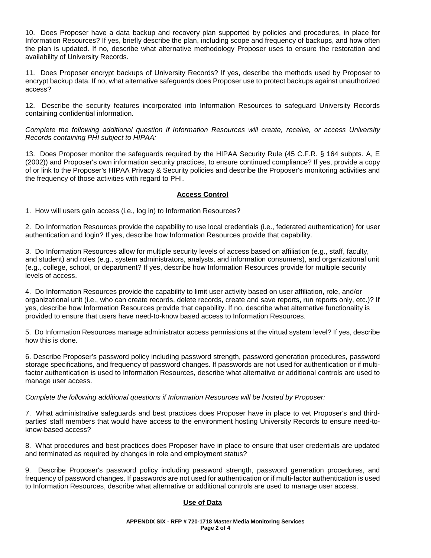10. Does Proposer have a data backup and recovery plan supported by policies and procedures, in place for Information Resources? If yes, briefly describe the plan, including scope and frequency of backups, and how often the plan is updated. If no, describe what alternative methodology Proposer uses to ensure the restoration and availability of University Records.

11. Does Proposer encrypt backups of University Records? If yes, describe the methods used by Proposer to encrypt backup data. If no, what alternative safeguards does Proposer use to protect backups against unauthorized access?

12. Describe the security features incorporated into Information Resources to safeguard University Records containing confidential information.

*Complete the following additional question if Information Resources will create, receive, or access University Records containing PHI subject to HIPAA:*

13. Does Proposer monitor the safeguards required by the HIPAA Security Rule (45 C.F.R. § 164 subpts. A, E (2002)) and Proposer's own information security practices, to ensure continued compliance? If yes, provide a copy of or link to the Proposer's HIPAA Privacy & Security policies and describe the Proposer's monitoring activities and the frequency of those activities with regard to PHI.

### **Access Control**

1. How will users gain access (i.e., log in) to Information Resources?

2. Do Information Resources provide the capability to use local credentials (i.e., federated authentication) for user authentication and login? If yes, describe how Information Resources provide that capability.

3. Do Information Resources allow for multiple security levels of access based on affiliation (e.g., staff, faculty, and student) and roles (e.g., system administrators, analysts, and information consumers), and organizational unit (e.g., college, school, or department? If yes, describe how Information Resources provide for multiple security levels of access.

4. Do Information Resources provide the capability to limit user activity based on user affiliation, role, and/or organizational unit (i.e., who can create records, delete records, create and save reports, run reports only, etc.)? If yes, describe how Information Resources provide that capability. If no, describe what alternative functionality is provided to ensure that users have need-to-know based access to Information Resources.

5. Do Information Resources manage administrator access permissions at the virtual system level? If yes, describe how this is done.

6. Describe Proposer's password policy including password strength, password generation procedures, password storage specifications, and frequency of password changes. If passwords are not used for authentication or if multifactor authentication is used to Information Resources, describe what alternative or additional controls are used to manage user access.

*Complete the following additional questions if Information Resources will be hosted by Proposer:*

7. What administrative safeguards and best practices does Proposer have in place to vet Proposer's and thirdparties' staff members that would have access to the environment hosting University Records to ensure need-toknow-based access?

8. What procedures and best practices does Proposer have in place to ensure that user credentials are updated and terminated as required by changes in role and employment status?

9. Describe Proposer's password policy including password strength, password generation procedures, and frequency of password changes. If passwords are not used for authentication or if multi-factor authentication is used to Information Resources, describe what alternative or additional controls are used to manage user access.

### **Use of Data**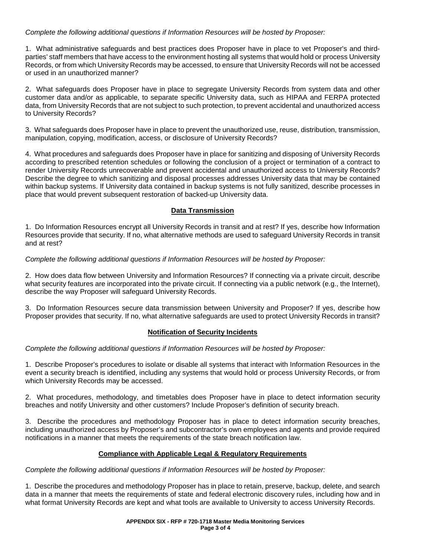### *Complete the following additional questions if Information Resources will be hosted by Proposer:*

1. What administrative safeguards and best practices does Proposer have in place to vet Proposer's and thirdparties' staff members that have access to the environment hosting all systems that would hold or process University Records, or from which University Records may be accessed, to ensure that University Records will not be accessed or used in an unauthorized manner?

2. What safeguards does Proposer have in place to segregate University Records from system data and other customer data and/or as applicable, to separate specific University data, such as HIPAA and FERPA protected data, from University Records that are not subject to such protection, to prevent accidental and unauthorized access to University Records?

3. What safeguards does Proposer have in place to prevent the unauthorized use, reuse, distribution, transmission, manipulation, copying, modification, access, or disclosure of University Records?

4. What procedures and safeguards does Proposer have in place for sanitizing and disposing of University Records according to prescribed retention schedules or following the conclusion of a project or termination of a contract to render University Records unrecoverable and prevent accidental and unauthorized access to University Records? Describe the degree to which sanitizing and disposal processes addresses University data that may be contained within backup systems. If University data contained in backup systems is not fully sanitized, describe processes in place that would prevent subsequent restoration of backed-up University data.

### **Data Transmission**

1. Do Information Resources encrypt all University Records in transit and at rest? If yes, describe how Information Resources provide that security. If no, what alternative methods are used to safeguard University Records in transit and at rest?

### *Complete the following additional questions if Information Resources will be hosted by Proposer:*

2. How does data flow between University and Information Resources? If connecting via a private circuit, describe what security features are incorporated into the private circuit. If connecting via a public network (e.g., the Internet), describe the way Proposer will safeguard University Records.

3. Do Information Resources secure data transmission between University and Proposer? If yes, describe how Proposer provides that security. If no, what alternative safeguards are used to protect University Records in transit?

### **Notification of Security Incidents**

### *Complete the following additional questions if Information Resources will be hosted by Proposer:*

1. Describe Proposer's procedures to isolate or disable all systems that interact with Information Resources in the event a security breach is identified, including any systems that would hold or process University Records, or from which University Records may be accessed.

2. What procedures, methodology, and timetables does Proposer have in place to detect information security breaches and notify University and other customers? Include Proposer's definition of security breach.

3. Describe the procedures and methodology Proposer has in place to detect information security breaches, including unauthorized access by Proposer's and subcontractor's own employees and agents and provide required notifications in a manner that meets the requirements of the state breach notification law.

### **Compliance with Applicable Legal & Regulatory Requirements**

### *Complete the following additional questions if Information Resources will be hosted by Proposer:*

1. Describe the procedures and methodology Proposer has in place to retain, preserve, backup, delete, and search data in a manner that meets the requirements of state and federal electronic discovery rules, including how and in what format University Records are kept and what tools are available to University to access University Records.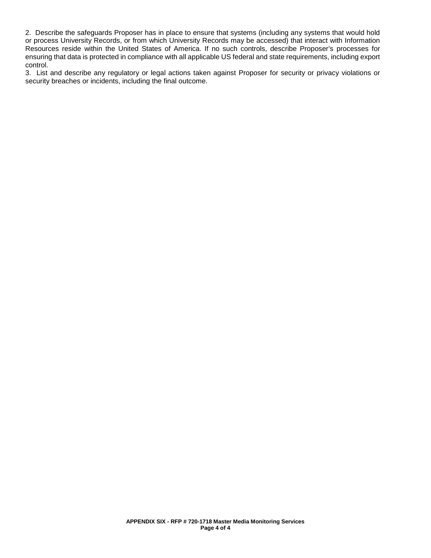2. Describe the safeguards Proposer has in place to ensure that systems (including any systems that would hold or process University Records, or from which University Records may be accessed) that interact with Information Resources reside within the United States of America. If no such controls, describe Proposer's processes for ensuring that data is protected in compliance with all applicable US federal and state requirements, including export control.

3. List and describe any regulatory or legal actions taken against Proposer for security or privacy violations or security breaches or incidents, including the final outcome.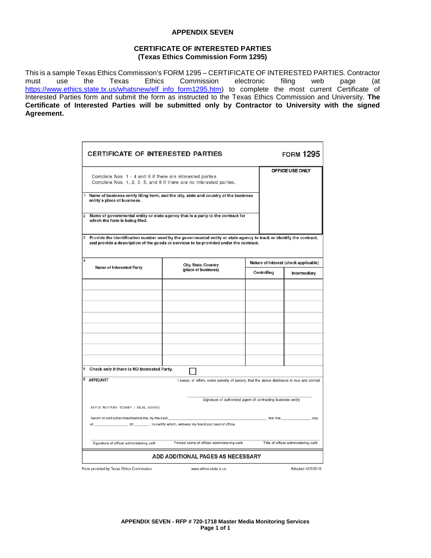### **APPENDIX SEVEN**

### **CERTIFICATE OF INTERESTED PARTIES (Texas Ethics Commission Form 1295)**

This is a sample Texas Ethics Commission's FORM 1295 – CERTIFICATE OF INTERESTED PARTIES. Contractor<br>must use the Texas Ethics Commission electronic filing web page (at Commission [https://www.ethics.state.tx.us/whatsnew/elf\\_info\\_form1295.htm\)](https://www.ethics.state.tx.us/whatsnew/elf_info_form1295.htm) to complete the most current Certificate of Interested Parties form and submit the form as instructed to the Texas Ethics Commission and University. **The Certificate of Interested Parties will be submitted only by Contractor to University with the signed Agreement.**

| <b>CERTIFICATE OF INTERESTED PARTIES</b>                                                                                                                                                                           |                                                                                              |  |                                       | <b>FORM 1295</b>                    |  |
|--------------------------------------------------------------------------------------------------------------------------------------------------------------------------------------------------------------------|----------------------------------------------------------------------------------------------|--|---------------------------------------|-------------------------------------|--|
| Complete Nos. 1 - 4 and 6 if there are interested parties.<br>Complete Nos. 1, 2, 3, 5, and 6 if there are no interested parties.                                                                                  |                                                                                              |  |                                       | OFFICE USE ONLY                     |  |
| 1<br>entity's place of business.                                                                                                                                                                                   | Name of business entity filing form, and the city, state and country of the business         |  |                                       |                                     |  |
| $\overline{\mathbf{2}}$<br>which the form is being filed.                                                                                                                                                          | Name of governmental entity or state agency that is a party to the contract for              |  |                                       |                                     |  |
| Provide the identification number used by the governmental entity or state agency to track or identify the contract,<br>3<br>and provide a description of the goods or services to be provided under the contract. |                                                                                              |  |                                       |                                     |  |
| 4                                                                                                                                                                                                                  | City, State, Country                                                                         |  | Nature of Interest (check applicable) |                                     |  |
| <b>Name of Interested Party</b>                                                                                                                                                                                    | (place of business)                                                                          |  | Controlling                           | Intermediary                        |  |
|                                                                                                                                                                                                                    |                                                                                              |  |                                       |                                     |  |
|                                                                                                                                                                                                                    |                                                                                              |  |                                       |                                     |  |
|                                                                                                                                                                                                                    |                                                                                              |  |                                       |                                     |  |
|                                                                                                                                                                                                                    |                                                                                              |  |                                       |                                     |  |
| Check only if there is NO Interested Party.                                                                                                                                                                        |                                                                                              |  |                                       |                                     |  |
| 6 AFFIDAVIT                                                                                                                                                                                                        | I swear, or affirm, under penalty of perjury, that the above disclosure is true and correct. |  |                                       |                                     |  |
| Signature of authorized agent of contracting business entity<br>AFFIX NOTARY STAMP / SEAL ABOVE                                                                                                                    |                                                                                              |  |                                       |                                     |  |
| Sworn to and subscribed before me, by the said<br>of_                                                                                                                                                              |                                                                                              |  | $\overline{\phantom{a}}$ , this the   | day                                 |  |
| Signature of officer administering oath                                                                                                                                                                            | Printed name of officer administering oath                                                   |  |                                       | Title of officer administering oath |  |
| ADD ADDITIONAL PAGES AS NECESSARY                                                                                                                                                                                  |                                                                                              |  |                                       |                                     |  |
| Form provided by Texas Ethics Commission                                                                                                                                                                           | www.ethics.state.tx.us                                                                       |  |                                       | Adopted 10/5/2015                   |  |